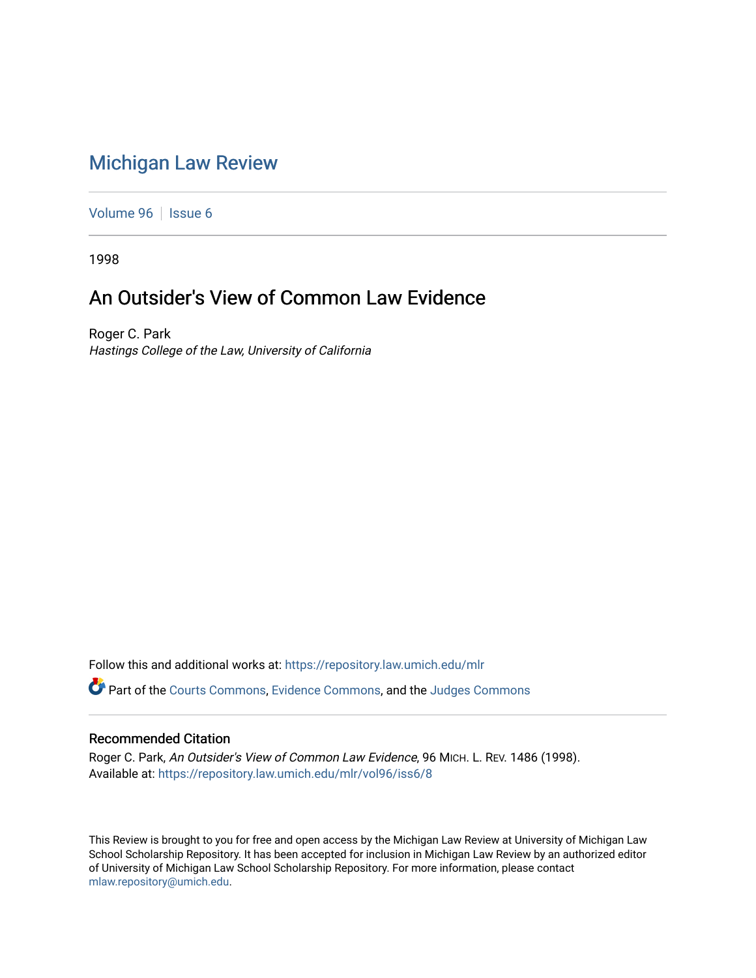## [Michigan Law Review](https://repository.law.umich.edu/mlr)

[Volume 96](https://repository.law.umich.edu/mlr/vol96) | [Issue 6](https://repository.law.umich.edu/mlr/vol96/iss6)

1998

# An Outsider's View of Common Law Evidence

Roger C. Park Hastings College of the Law, University of California

Follow this and additional works at: [https://repository.law.umich.edu/mlr](https://repository.law.umich.edu/mlr?utm_source=repository.law.umich.edu%2Fmlr%2Fvol96%2Fiss6%2F8&utm_medium=PDF&utm_campaign=PDFCoverPages) 

Part of the [Courts Commons,](http://network.bepress.com/hgg/discipline/839?utm_source=repository.law.umich.edu%2Fmlr%2Fvol96%2Fiss6%2F8&utm_medium=PDF&utm_campaign=PDFCoverPages) [Evidence Commons](http://network.bepress.com/hgg/discipline/601?utm_source=repository.law.umich.edu%2Fmlr%2Fvol96%2Fiss6%2F8&utm_medium=PDF&utm_campaign=PDFCoverPages), and the [Judges Commons](http://network.bepress.com/hgg/discipline/849?utm_source=repository.law.umich.edu%2Fmlr%2Fvol96%2Fiss6%2F8&utm_medium=PDF&utm_campaign=PDFCoverPages) 

#### Recommended Citation

Roger C. Park, An Outsider's View of Common Law Evidence, 96 MICH. L. REV. 1486 (1998). Available at: [https://repository.law.umich.edu/mlr/vol96/iss6/8](https://repository.law.umich.edu/mlr/vol96/iss6/8?utm_source=repository.law.umich.edu%2Fmlr%2Fvol96%2Fiss6%2F8&utm_medium=PDF&utm_campaign=PDFCoverPages)

This Review is brought to you for free and open access by the Michigan Law Review at University of Michigan Law School Scholarship Repository. It has been accepted for inclusion in Michigan Law Review by an authorized editor of University of Michigan Law School Scholarship Repository. For more information, please contact [mlaw.repository@umich.edu.](mailto:mlaw.repository@umich.edu)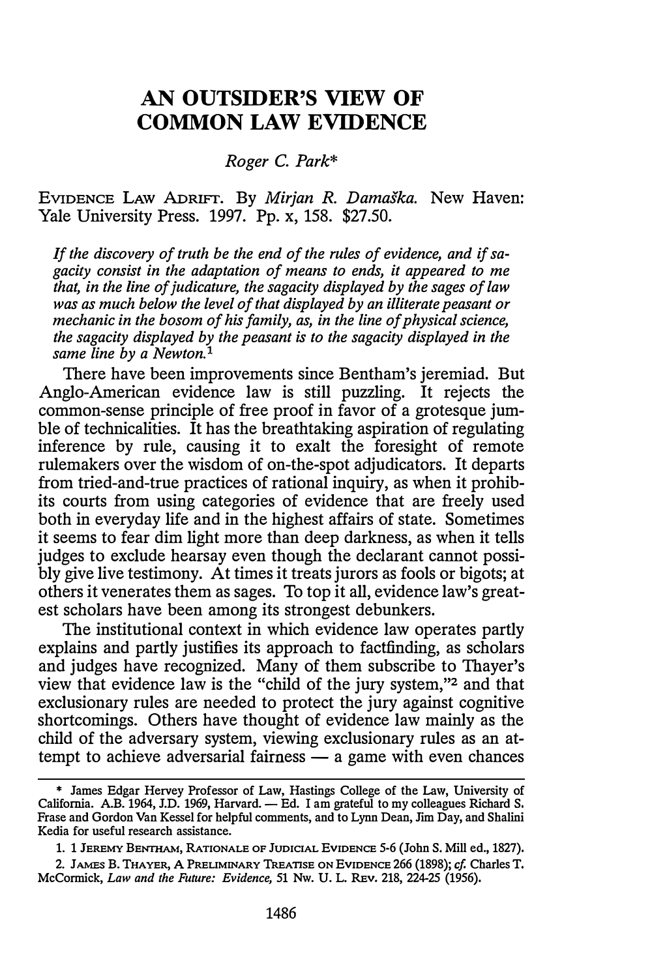### AN OUTSIDER'S VIEW OF COMMON LAW EVIDENCE

#### Roger C. Park\*

### EVIDENCE LAW ADRIFT. By Mirjan R. Damaška. New Haven: Yale University Press. 1997. Pp. x, 158. \$27.50.

If the discovery of truth be the end of the rules of evidence, and if sagacity consist in the adaptation of means to ends, it appeared to me that, in the line of judicature, the sagacity displayed by the sages of law was as much below the level of that displayed by an illiterate peasant or mechanic in the bosom of his family, as, in the line of physical science, the sagacity displayed by the peasant is to the sagacity displayed in the same line by a Newton.<sup>1</sup>

There have been improvements since Bentham's jeremiad. But Anglo-American evidence law is still puzzling. It rejects the common-sense principle of free proof in favor of a grotesque jumble of technicalities. It has the breathtaking aspiration of regulating inference by rule, causing it to exalt the foresight of remote rulemakers over the wisdom of on-the-spot adjudicators. It departs from tried-and-true practices of rational inquiry, as when it prohibits courts from using categories of evidence that are freely used both in everyday life and in the highest affairs of state. Sometimes it seems to fear dim light more than deep darkness, as when it tells judges to exclude hearsay even though the declarant cannot possibly give live testimony. At times it treats jurors as fools or bigots; at others it venerates them as sages. To top it all, evidence law's greatest scholars have been among its strongest debunkers.

The institutional context in which evidence law operates partly explains and partly justifies its approach to factfinding, as scholars and judges have recognized. Many of them subscribe to Thayer's view that evidence law is the "child of the jury system,"2 and that exclusionary rules are needed to protect the jury against cognitive shortcomings. Others have thought of evidence law mainly as the child of the adversary system, viewing exclusionary rules as an at $tempt$  to achieve adversarial fairness  $-$  a game with even chances

<sup>\*</sup> James Edgar Hervey Professor of Law, Hastings College of the Law, University of California. A.B. 1964, J.D. 1969, Harvard. - Ed. I am grateful to my colleagues Richard S. Frase and Gordon Van Kessel for helpful comments, and to Lynn Dean, Jim Day, and Shalini Kedia for useful research assistance.

<sup>1. 1</sup> JEREMY BENTHAM, RATIONALE OF JUDICIAL EVIDENCE 5-6 (John S. Mill ed., 1827).

<sup>2.</sup> JAMES B. THAYER, A PRELIMINARY TREATISE ON EVIDENCE 266 (1898); cf. Charles T. McCormick, Law and the Future: Evidence, 51 Nw. U. L. REv. 218, 224-25 (1956).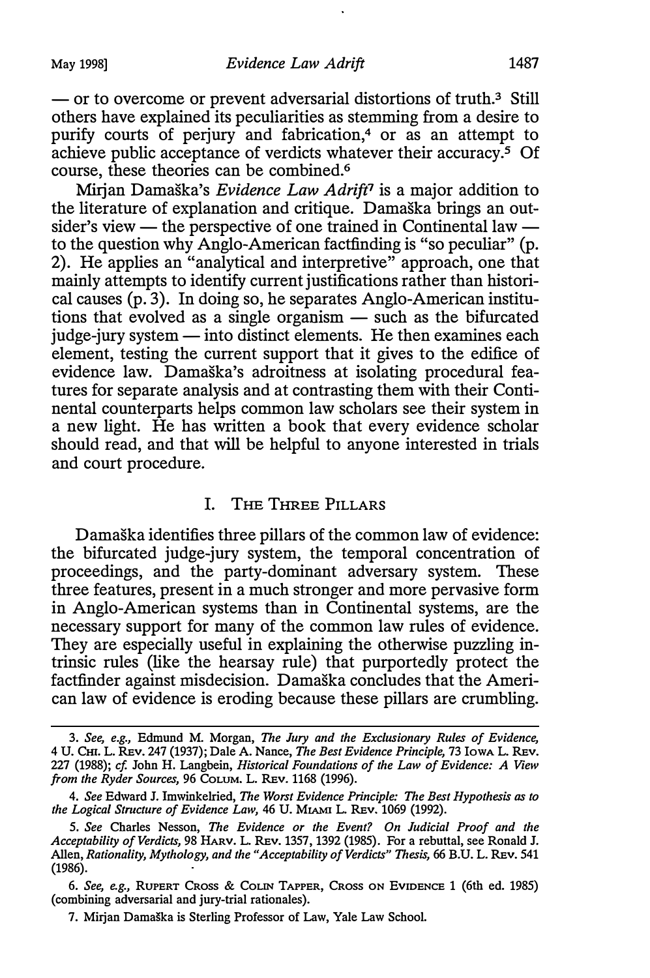$\overline{a}$ 

- or to overcome or prevent adversarial distortions of truth.<sup>3</sup> Still others have explained its peculiarities as stemming from a desire to purify courts of perjury and fabrication,4 or as an attempt to achieve public acceptance of verdicts whatever their accuracy.<sup>5</sup> Of course, these theories can be combined.6

Mirjan Damaška's Evidence Law Adrift<sup>7</sup> is a major addition to the literature of explanation and critique. Damaska brings an outsider's view  $-$  the perspective of one trained in Continental law  $$ to the question why Anglo-American factfinding is "so peculiar" (p. 2). He applies an "analytical and interpretive" approach, one that mainly attempts to identify current justifications rather than historical causes (p. 3). In doing so, he separates Anglo-American institutions that evolved as a single organism  $-$  such as the bifurcated judge-jury system — into distinct elements. He then examines each element, testing the current support that it gives to the edifice of evidence law. Damaska's adroitness at isolating procedural features for separate analysis and at contrasting them with their Continental counterparts helps common law scholars see their system in a new light. He has written a book that every evidence scholar should read, and that will be helpful to anyone interested in trials and court procedure.

#### I. THE THREE PILLARS

Damaska identifies three pillars of the common law of evidence: the bifurcated judge-jury system, the temporal concentration of proceedings, and the party-dominant adversary system. These three features, present in a much stronger and more pervasive form in Anglo-American systems than in Continental systems, are the necessary support for many of the common law rules of evidence. They are especially useful in explaining the otherwise puzzling intrinsic rules (like the hearsay rule) that purportedly protect the factfinder against misdecision. Damaska concludes that the American law of evidence is eroding because these pillars are crumbling.

6. See, e.g., RUPERT CROSS & CoLIN TAPPER, CROSS ON EVIDENCE 1 (6th ed. 1985) (combining adversarial and jury-trial rationales).

7. Mirjan Dama5ka is Sterling Professor of Law, Yale Law School.

<sup>3.</sup> See, e.g., Edmund M. Morgan, The Jury and the Exclusionary Rules of Evidence, 4 U. CHI. L. REV. 247 (1937); Dale A. Nance, The Best Evidence Principle, 73 Iowa L. REV. 227 (1988); cf. John H. Langbein, Historical Foundations of the Law of Evidence: A View from the Ryder Sources, 96 COLUM. L. REV. 1168 (1996).

<sup>4.</sup> See Edward J. Imwinkelried, The Worst Evidence Principle: The Best Hypothesis as to the Logical Structure of Evidence Law, 46 U. MIAMI L. REv. 1069 (1992).

<sup>5.</sup> See Charles Nesson, The Evidence or the Event? On Judicial Proof and the Acceptability of Verdicts, 98 HARV. L. REV. 1357, 1392 (1985). For a rebuttal, see Ronald J. Allen, Rationality, Mythology, and the "Acceptability of Verdicts" Thesis, 66 B.U. L. Rev. 541 (1986).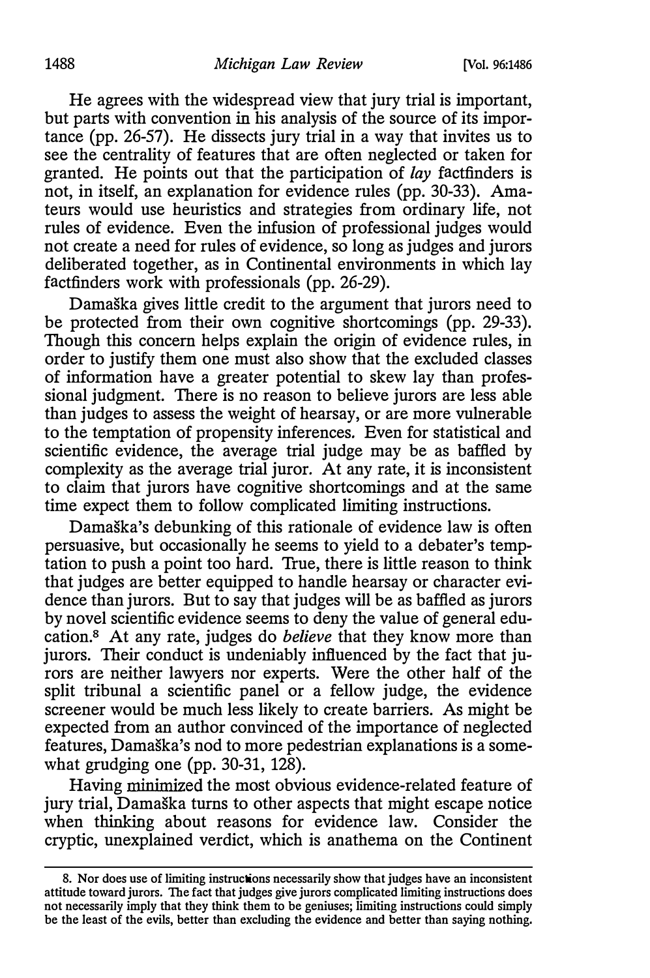He agrees with the widespread view that jury trial is important, but parts with convention in his analysis of the source of its importance (pp. 26-57). He dissects jury trial in a way that invites us to see the centrality of features that are often neglected or taken for granted. He points out that the participation of  $lay$  factfinders is not, in itself, an explanation for evidence rules (pp. 30-33). Amateurs would use heuristics and strategies from ordinary life, not rules of evidence. Even the infusion of professional judges would not create a need for rules of evidence, so long as judges and jurors deliberated together, as in Continental environments in which lay factfinders work with professionals (pp. 26-29).

Damaska gives little credit to the argument that jurors need to be protected from their own cognitive shortcomings (pp. 29-33). Though this concern helps explain the origin of evidence rules, in order to justify them one must also show that the excluded classes of information have a greater potential to skew lay than professional judgment. There is no reason to believe jurors are less able than judges to assess the weight of hearsay, or are more vulnerable to the temptation of propensity inferences. Even for statistical and scientific evidence, the average trial judge may be as baffled by complexity as the average trial juror. At any rate, it is inconsistent to claim that jurors have cognitive shortcomings and at the same time expect them to follow complicated limiting instructions.

Damaska's debunking of this rationale of evidence law is often persuasive, but occasionally he seems to yield to a debater's temptation to push a point too hard. True, there is little reason to think that judges are better equipped to handle hearsay or character evidence than jurors. But to say that judges will be as baffled as jurors by novel scientific evidence seems to deny the value of general education.<sup>8</sup> At any rate, judges do *believe* that they know more than jurors. Their conduct is undeniably influenced by the fact that jurors are neither lawyers nor experts. Were the other half of the split tribunal a scientific panel or a fellow judge, the evidence screener would be much less likely to create barriers. As might be expected from an author convinced of the importance of neglected features, Damaska's nod to more pedestrian explanations is a somewhat grudging one (pp. 30-31, 128).

Having minimized the most obvious evidence-related feature of jury trial, Damaška turns to other aspects that might escape notice when thinking about reasons for evidence law. Consider the cryptic, unexplained verdict, which is anathema on the Continent

<sup>8.</sup> Nor does use of limiting instructions necessarily show that judges have an inconsistent attitude toward jurors. The fact that judges give jurors complicated limiting instructions does not necessarily imply that they think them to be geniuses; limiting instructions could simply be the least of the evils, better than excluding the evidence and better than saying nothing.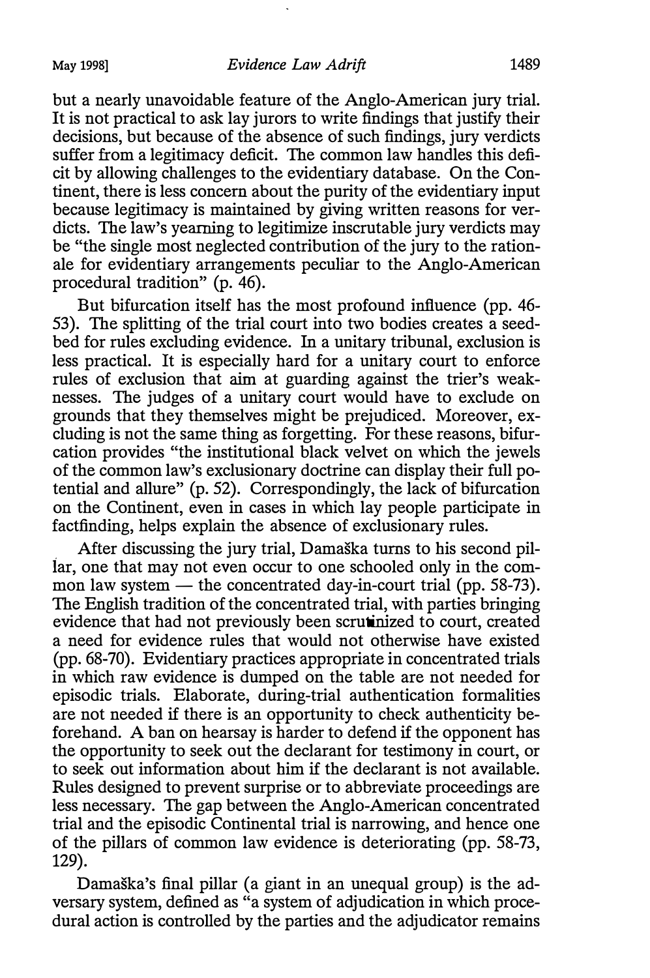but a nearly unavoidable feature of the Anglo-American jury trial. It is not practical to ask lay jurors to write findings that justify their decisions, but because of the absence of such findings, jury verdicts suffer from a legitimacy deficit. The common law handles this deficit by allowing challenges to the evidentiary database. On the Continent, there is less concern about the purity of the evidentiary input because legitimacy is maintained by giving written reasons for verdicts. The law's yearning to legitimize inscrutable jury verdicts may be "the single most neglected contribution of the jury to the rationale for evidentiary arrangements peculiar to the Anglo-American procedural tradition" (p. 46).

But bifurcation itself has the most profound influence (pp. 46- 53). The splitting of the trial court into two bodies creates a seedbed for rules excluding evidence. In a unitary tribunal, exclusion is less practical. It is especially hard for a unitary court to enforce rules of exclusion that aim at guarding against the trier's weaknesses. The judges of a unitary court would have to exclude on grounds that they themselves might be prejudiced. Moreover, excluding is not the same thing as forgetting. For these reasons, bifurcation provides "the institutional black velvet on which the jewels of the common law's exclusionary doctrine can display their full potential and allure" (p. 52). Correspondingly, the lack of bifurcation on the Continent, even in cases in which lay people participate in factfinding, helps explain the absence of exclusionary rules.

After discussing the jury trial, Damaska turns to his second pillar, one that may not even occur to one schooled only in the common law system  $-$  the concentrated day-in-court trial (pp. 58-73). The English tradition of the concentrated trial, with parties bringing evidence that had not previously been scrutinized to court, created a need for evidence rules that would not otherwise have existed (pp. 68-70). Evidentiary practices appropriate in concentrated trials in which raw evidence is dumped on the table are not needed for episodic trials. Elaborate, during-trial authentication formalities are not needed if there is an opportunity to check authenticity beforehand. A ban on hearsay is harder to defend if the opponent has the opportunity to seek out the declarant for testimony in court, or to seek out information about him if the declarant is not available. Rules designed to prevent surprise or to abbreviate proceedings are less necessary. The gap between the Anglo-American concentrated trial and the episodic Continental trial is narrowing, and hence one of the pillars of common law evidence is deteriorating (pp. 58-73, 129).

Damaska's final pillar (a giant in an unequal group) is the adversary system, defined as "a system of adjudication in which procedural action is controlled by the parties and the adjudicator remains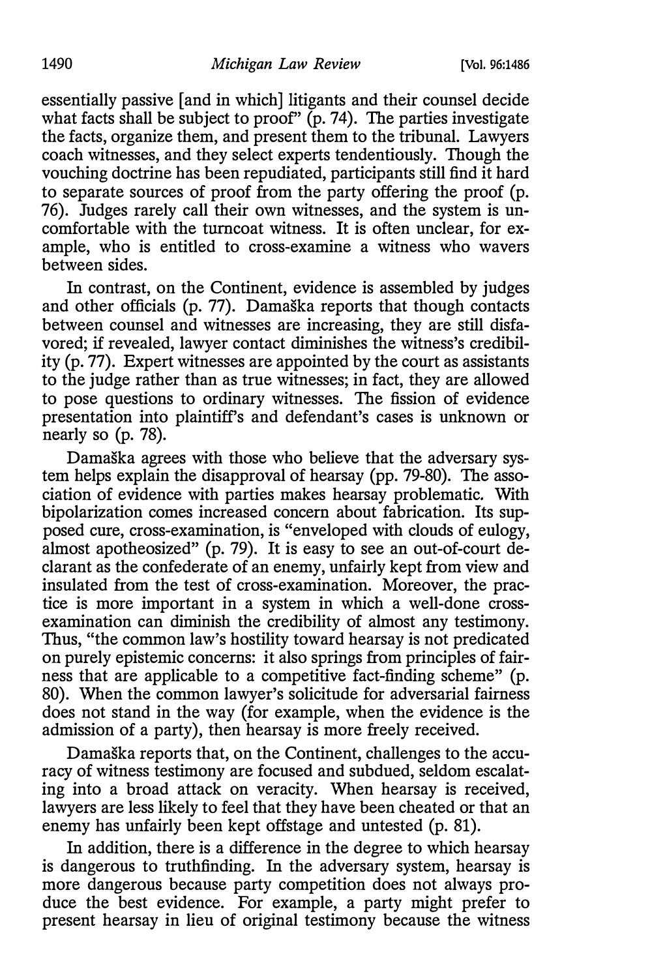1490 Michigan Law Review [Vol. 96:1486

essentially passive [and in which] litigants and their counsel decide what facts shall be subject to proof"  $(p. 74)$ . The parties investigate the facts, organize them, and present them to the tribunal. Lawyers coach witnesses, and they select experts tendentiously. Though the vouching doctrine has been repudiated, participants still find it hard to separate sources of proof from the party offering the proof (p. 76). Judges rarely call their own witnesses, and the system is uncomfortable with the turncoat witness. It is often unclear, for example, who is entitled to cross-examine a witness who wavers between sides.

In contrast, on the Continent, evidence is assembled by judges and other officials (p. 77). Damaska reports that though contacts between counsel and witnesses are increasing, they are still disfavored; if revealed, lawyer contact diminishes the witness's credibility (p. 77). Expert witnesses are appointed by the court as assistants to the judge rather than as true witnesses; in fact, they are allowed to pose questions to ordinary witnesses. The fission of evidence presentation into plaintiff's and defendant's cases is unknown or nearly so (p. 78).

Damaska agrees with those who believe that the adversary system helps explain the disapproval of hearsay (pp. 79-80). The association of evidence with parties makes hearsay problematic. With bipolarization comes increased concern about fabrication. Its supposed cure, cross-examination, is "enveloped with clouds of eulogy, almost apotheosized" (p. 79). It is easy to see an out-of-court declarant as the confederate of an enemy, unfairly kept from view and insulated from the test of cross-examination. Moreover, the practice is more important in a system in which a well-done crossexamination can diminish the credibility of almost any testimony. Thus, "the common law's hostility toward hearsay is not predicated on purely epistemic concerns: it also springs from principles of fairness that are applicable to a competitive fact-finding scheme" (p. 80). When the common lawyer's solicitude for adversarial fairness does not stand in the way (for example, when the evidence is the admission of a party), then hearsay is more freely received.

Damaska reports that, on the Continent, challenges to the accuracy of witness testimony are focused and subdued, seldom escalating into a broad attack on veracity. When hearsay is received, lawyers are less likely to feel that they have been cheated or that an enemy has unfairly been kept offstage and untested (p. 81).

In addition, there is a difference in the degree to which hearsay is dangerous to truthfinding. In the adversary system, hearsay is more dangerous because party competition does not always produce the best evidence. For example, a party might prefer to present hearsay in lieu of original testimony because the witness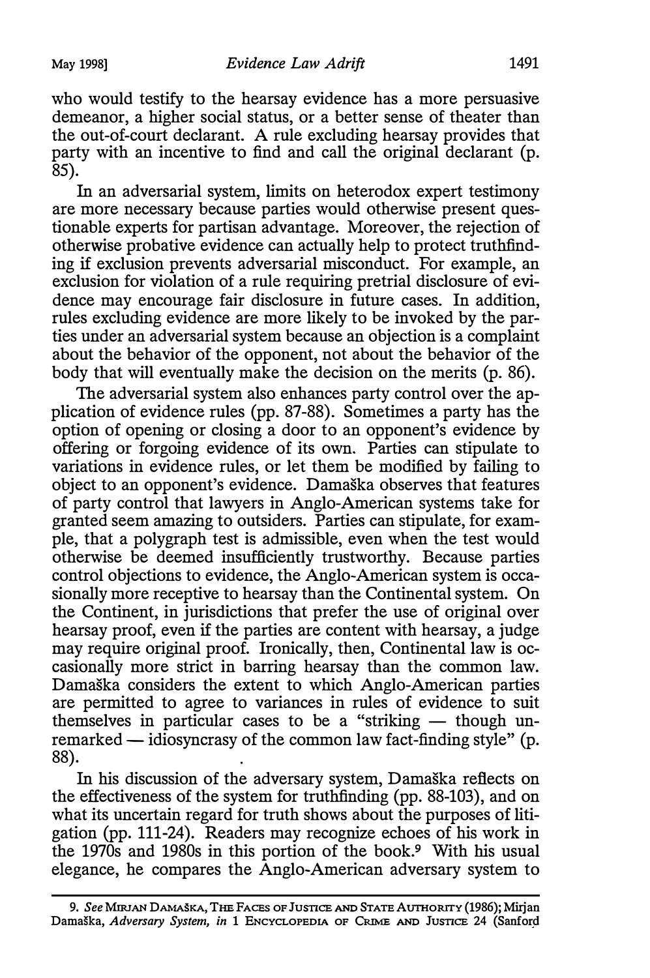who would testify to the hearsay evidence has a more persuasive demeanor, a higher social status, or a better sense of theater than the out-of-court declarant. A rule excluding hearsay provides that party with an incentive to find and call the original declarant (p. 85).

In an adversarial system, limits on heterodox expert testimony are more necessary because parties would otherwise present questionable experts for partisan advantage. Moreover, the rejection of otherwise probative evidence can actually help to protect truthfinding if exclusion prevents adversarial misconduct. For example, an exclusion for violation of a rule requiring pretrial disclosure of evidence may encourage fair disclosure in future cases. In addition, rules excluding evidence are more likely to be invoked by the parties under an adversarial system because an objection is a complaint about the behavior of the opponent, not about the behavior of the body that will eventually make the decision on the merits (p. 86).

The adversarial system also enhances party control over the application of evidence rules (pp. 87-88). Sometimes a party has the option of opening or closing a door to an opponent's evidence by offering or forgoing evidence of its own. Parties can stipulate to variations in evidence rules, or let them be modified by failing to object to an opponent's evidence. Damaska observes that features of party control that lawyers in Anglo-American systems take for granted seem amazing to outsiders. Parties can stipulate, for example, that a polygraph test is admissible, even when the test would otherwise be deemed insufficiently trustworthy. Because parties control objections to evidence, the Anglo-American system is occasionally more receptive to hearsay than the Continental system. On the Continent, in jurisdictions that prefer the use of original over hearsay proof, even if the parties are content with hearsay, a judge may require original proof. Ironically, then, Continental law is occasionally more strict in barring hearsay than the common law. Damaska considers the extent to which Anglo-American parties are permitted to agree to variances in rules of evidence to suit themselves in particular cases to be a "striking  $-$  though unremarked — idiosyncrasy of the common law fact-finding style" (p. 88).

In his discussion of the adversary system, Damaska reflects on the effectiveness of the system for truthfinding (pp. 88-103), and on what its uncertain regard for truth shows about the purposes of litigation (pp. 111-24). Readers may recognize echoes of his work in the 1970s and 1980s in this portion of the book.9 With his usual elegance, he compares the Anglo-American adversary system to

<sup>9.</sup> See MIRJAN DAMAŠKA, THE FACES OF JUSTICE AND STATE AUTHORITY (1986); Mirjan Damaska, Adversary System, in 1 ENCYCLOPEDIA OF CRIME AND JUSTICE 24 (Sanford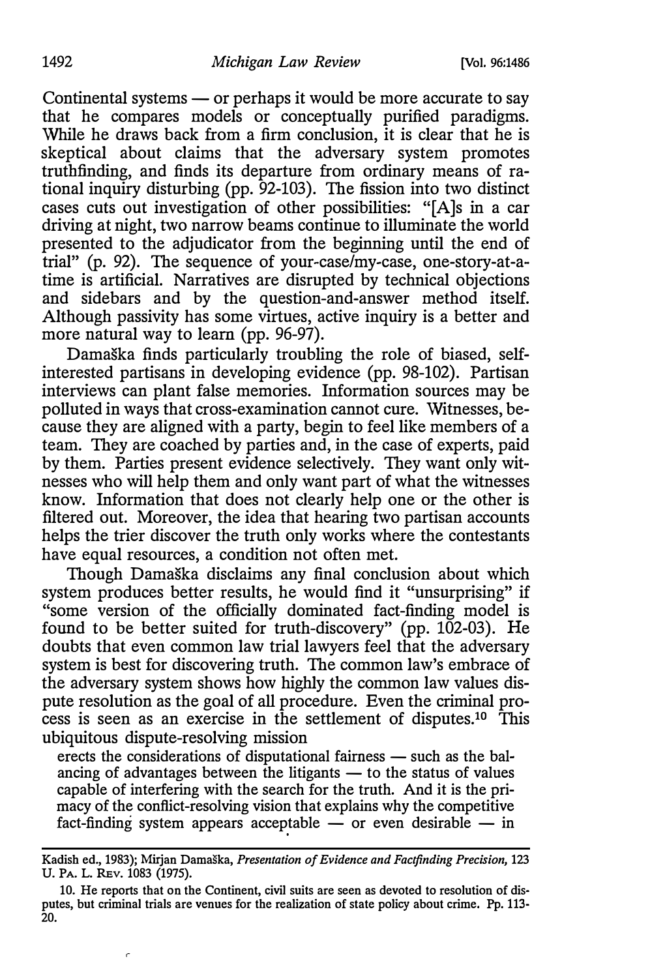Continental systems  $\sim$  or perhaps it would be more accurate to say that he compares models or conceptually purified paradigms. While he draws back from a firm conclusion, it is clear that he is skeptical about claims that the adversary system promotes truthfinding, and finds its departure from ordinary means of rational inquiry disturbing (pp. 92-103). The fission into two distinct cases cuts out investigation of other possibilities: "[A]s in a car driving at night, two narrow beams continue to illuminate the world presented to the adjudicator from the beginning until the end of trial" (p. 92). The sequence of your-case/my-case, one-story-at-atime is artificial. Narratives are disrupted by technical objections and sidebars and by the question-and-answer method itself. Although passivity has some virtues, active inquiry is a better and more natural way to learn (pp. 96-97).

Damaska finds particularly troubling the role of biased, selfinterested partisans in developing evidence (pp. 98-102). Partisan interviews can plant false memories. Information sources may be polluted in ways that cross-examination cannot cure. Witnesses, because they are aligned with a party, begin to feel like members of a team. They are coached by parties and, in the case of experts, paid by them. Parties present evidence selectively. They want only witnesses who will help them and only want part of what the witnesses know. Information that does not clearly help one or the other is filtered out. Moreover, the idea that hearing two partisan accounts helps the trier discover the truth only works where the contestants have equal resources, a condition not often met.

Though Damaska disclaims any final conclusion about which system produces better results, he would find it "unsurprising" if "some version of the officially dominated fact-finding model is found to be better suited for truth-discovery" (pp.  $102-03$ ). He doubts that even common law trial lawyers feel that the adversary system is best for discovering truth. The common law's embrace of the adversary system shows how highly the common law values dispute resolution as the goal of all procedure. Even the criminal process is seen as an exercise in the settlement of disputes.10 This ubiquitous dispute-resolving mission

erects the considerations of disputational fairness  $-$  such as the balancing of advantages between the litigants  $-$  to the status of values capable of interfering with the search for the truth. And it is the primacy of the conflict-resolving vision that explains why the competitive fact-finding system appears acceptable  $-$  or even desirable  $-$  in

Ċ

Kadish ed., 1983); Mirjan Damaska, Presentation of Evidence and Factfinding Precision, 123 U. PA. L. REv. 1083 {1975).

<sup>10.</sup> He reports that on the Continent, civil suits are seen as devoted to resolution of disputes, but criminal trials are venues for the realization of state policy about crime. Pp. 113- 20.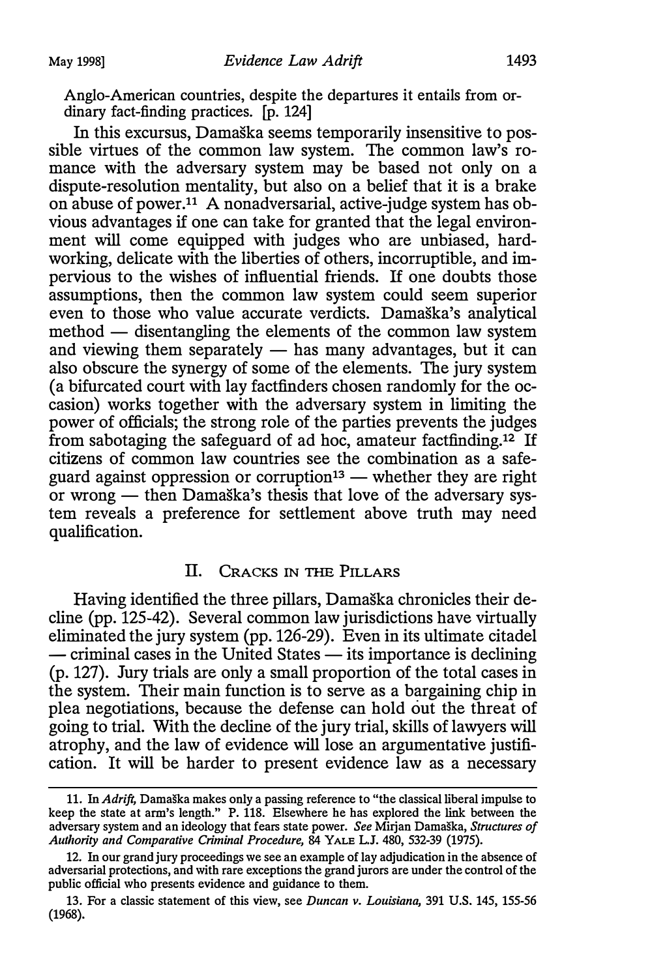Anglo-American countries, despite the departures it entails from ordinary fact-finding practices. [p. 124]

In this excursus, Damaska seems temporarily insensitive to possible virtues of the common law system. The common law's romance with the adversary system may be based not only on a dispute-resolution mentality, but also on a belief that it is a brake on abuse of power.11 A nonadversarial, active-judge system has obvious advantages if one can take for granted that the legal environment will come equipped with judges who are unbiased, hardworking, delicate with the liberties of others, incorruptible, and impervious to the wishes of influential friends. If one doubts those assumptions, then the common law system could seem superior even to those who value accurate verdicts. Damaska's analytical method — disentangling the elements of the common law system and viewing them separately  $-$  has many advantages, but it can also obscure the synergy of some of the elements. The jury system (a bifurcated court with lay factfinders chosen randomly for the occasion) works together with the adversary system in limiting the power of officials; the strong role of the parties prevents the judges from sabotaging the safeguard of ad hoc, amateur factfinding.12 If citizens of common law countries see the combination as a safeguard against oppression or corruption<sup>13</sup> — whether they are right or wrong — then Damaška's thesis that love of the adversary system reveals a preference for settlement above truth may need qualification.

#### II. CRACKS IN THE PILLARS

Having identified the three pillars, Damaska chronicles their decline (pp. 125-42). Several common law jurisdictions have virtually eliminated the jury system (pp. 126-29). Even in its ultimate citadel  $-$  criminal cases in the United States  $-$  its importance is declining (p. 127). Jury trials are only a small proportion of the total cases in the system. Their main function is to serve as a bargaining chip in plea negotiations, because the defense can hold out the threat of going to trial. With the decline of the jury trial, skills of lawyers will atrophy, and the law of evidence will lose an argumentative justification. It will be harder to present evidence law as a necessary

<sup>11.</sup> In Adrift, Damaška makes only a passing reference to "the classical liberal impulse to keep the state at arm's length." P. 118. Elsewhere he has explored the link between the adversary system and an ideology that fears state power. See Mirjan Damaška, Structures of Authority and Comparative Criminal Procedure, 84 YALE L.J. 480, 532-39 (1975).

<sup>12.</sup> In our grand jury proceedings we see an example of lay adjudication in the absence of adversarial protections, and with rare exceptions the grand jurors are under the control of the public official who presents evidence and guidance to them.

<sup>13.</sup> For a classic statement of this view, see Duncan v. Louisiana, 391 U.S. 145, 155-56 (1968).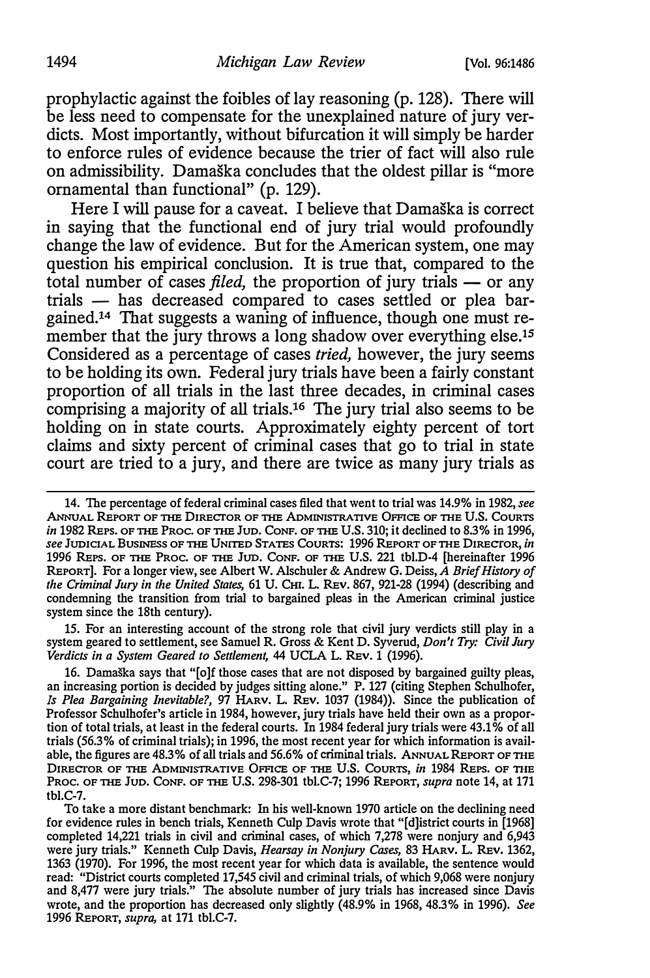prophylactic against the foibles of lay reasoning (p. 128). There will be less need to compensate for the unexplained nature of jury verdicts. Most importantly, without bifurcation it will simply be harder to enforce rules of evidence because the trier of fact will also rule on admissibility. Damaska concludes that the oldest pillar is "more ornamental than functional" (p. 129).

Here I will pause for a caveat. I believe that Damaska is correct in saying that the functional end of jury trial would profoundly change the law of evidence. But for the American system, one may question his empirical conclusion. It is true that, compared to the total number of cases *filed*, the proportion of jury trials  $-$  or any trials - has decreased compared to cases settled or plea bargained.14 That suggests a waning of influence, though one must remember that the jury throws a long shadow over everything else.<sup>15</sup> Considered as a percentage of cases tried, however, the jury seems to be holding its own. Federal jury trials have been a fairly constant proportion of all trials in the last three decades, in criminal cases comprising a majority of all trials.16 The jury trial also seems to be holding on in state courts. Approximately eighty percent of tort claims and sixty percent of criminal cases that go to trial in state court are tried to a jury, and there are twice as many jury trials as

15. For an interesting account of the strong role that civil jury verdicts still play in a system geared to settlement, see Samuel R. Gross & Kent D. Syverud, Don't Try: Civil Jury Verdicts in a System Geared to Settlement, 44 UCLA L. REV. 1 (1996).

16. Damaska says that "[o]f those cases that are not disposed by bargained guilty pleas, an increasing portion is decided by judges sitting alone." P. 127 (citing Stephen Schulhofer, ls Plea Bargaining Inevitable?, 97 HARV. L. REv. 1037 (1984)). Since the publication of Professor Schulhofer's article in 1984, however, jury trials have held their own as a proportion of total trials, at least in the federal courts. In 1984 federal jury trials were 43.1 % of all trials (56.3% of criminal trials); in 1996, the most recent year for which information is available, the figures are 48.3% of all trials and 56.6% of criminal trials. ANNUAL REPORT OF THE DIRECTOR OF THE ADMINISTRATIVE OFFICE OF THE U.S. COURTS, in 1984 REPS. OF THE PROC. OF THE JUD. CONF. OF THE U.S. 298-301 tbl.C-7; 1996 REPORT, supra note 14, at 171 tbl.C-7.

To take a more distant benchmark: In his well-known 1970 article on the declining need for evidence rules in bench trials, Kenneth Culp Davis wrote that "[d]istrict courts in [1968] completed 14,221 trials in civil and criminal cases, of which 7,278 were nonjury and 6,943 were jury trials." Kenneth Culp Davis, Hearsay in Nonjury Cases, 83 HARV. L. REv. 1362, 1363 (1970). For 1996, the most recent year for which data is available, the sentence would read: "District courts completed 17,545 civil and criminal trials, of which 9,068 were nonjury and 8,477 were jury trials." The absolute number of jury trials has increased since Davis wrote, and the proportion has decreased only slightly (48.9% in 1968, 48.3% in 1996). See 1996 REPORT, supra, at 171 tbl.C-7.

<sup>.</sup>ANNu AL REPORT OF THE DIRECTOR OF THE ADMINISTRATIVE OFFICE OF THE U.S. COURTS 14. The percentage of federal criminal cases filed that went to trial was 14.9% in 1982, see in 1982 REPs. OF THE PRoc. OF THE JUD. CoNF. OF THE U.S. 310; it declined to 8.3% in 1996, see JUDICIAL BUSINESS OF THE UNITED STATES COURTS: 1996 REPORT OF THE DIRECTOR, in 1996 REPS. OF THE PRoc. oF THE Juo. CoNF. OF THE U.S. 221 tbl.D-4 [hereinafter 1996 REPORT]. For a longer view, see Albert W. Alschuler & Andrew G. Deiss, A Brief History of the Criminal Jury in the United States, 61 U. Cm. L. REv. 867, 921-28 (1994) (describing and condemning the transition from trial to bargained pleas in the American criminal justice system since the 18th century).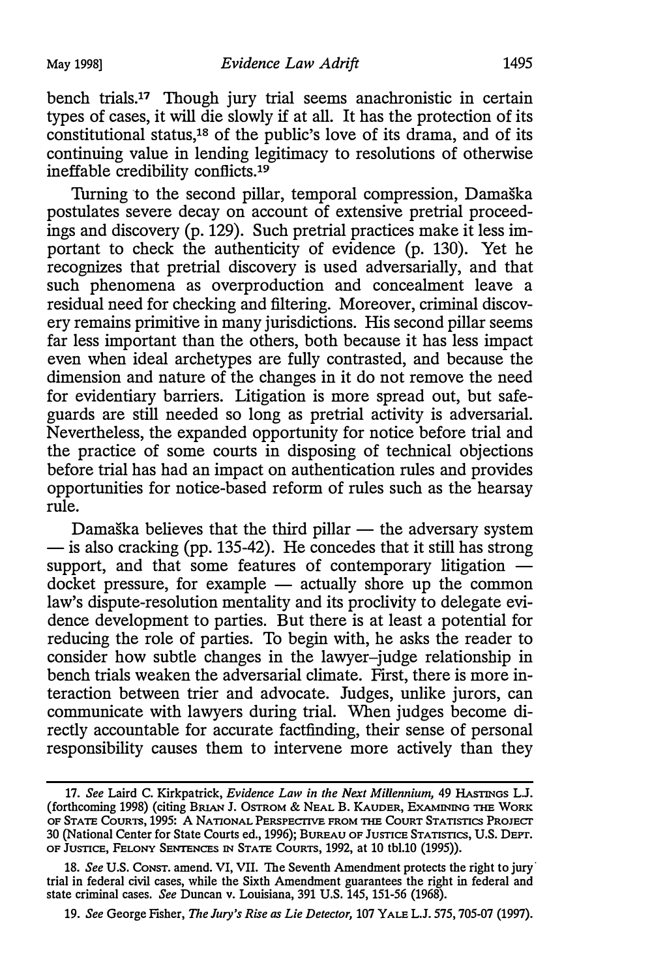bench trials.17 Though jury trial seems anachronistic in certain types of cases, it will die slowly if at all. It has the protection of its constitutional status,18 of the public's love of its drama, and of its continuing value in lending legitimacy to resolutions of otherwise ineffable credibility conflicts.<sup>19</sup>

Turning to the second pillar, temporal compression, Damaska postulates severe decay on account of extensive pretrial proceedings and discovery (p. 129). Such pretrial practices make it less important to check the authenticity of evidence (p. 130). Yet he recognizes that pretrial discovery is used adversarially, and that such phenomena as overproduction and concealment leave a residual need for checking and filtering. Moreover, criminal discovery remains primitive in many jurisdictions. His second pillar seems far less important than the others, both because it has less impact even when ideal archetypes are fully contrasted, and because the dimension and nature of the changes in it do not remove the need for evidentiary barriers. Litigation is more spread out, but safeguards are still needed so long as pretrial activity is adversarial. Nevertheless, the expanded opportunity for notice before trial and the practice of some courts in disposing of technical objections before trial has had an impact on authentication rules and provides opportunities for notice-based reform of rules such as the hearsay rule.

Damaška believes that the third pillar  $-$  the adversary system  $-$  is also cracking (pp. 135-42). He concedes that it still has strong support, and that some features of contemporary litigation  $$  $d$ ocket pressure, for example  $-$  actually shore up the common law's dispute-resolution mentality and its proclivity to delegate evidence development to parties. But there is at least a potential for reducing the role of parties. To begin with, he asks the reader to consider how subtle changes in the lawyer-judge relationship in bench trials weaken the adversarial climate. First, there is more interaction between trier and advocate. Judges, unlike jurors, can communicate with lawyers during trial. When judges become directly accountable for accurate factfinding, their sense of personal responsibility causes them to intervene more actively than they

<sup>17.</sup> See Laird C. Kirkpatrick, Evidence Law in the Next Millennium, 49 HASTINGS L.J. {forthcoming 1998) (citing BRIAN J. OSTROM & NEAL B. KAUDER, EXAMINING THE WoRK OF STATE CoURTS, 1995: A NATIONAL PERSPECTIVE FROM THE COURT STATISTICS PROJECT 30 (National Center for State Courts ed., 1996); BUREAU OF JusTICE STATISTICS, U.S. DEPT. OF JUSTICE, FELONY SENTENCES IN STATE COURTS, 1992, at 10 tbl.10 {1995)).

<sup>18.</sup> See U.S. CONST. amend. VI, VII. The Seventh Amendment protects the right to jury' trial in federal civil cases, while the Sixth Amendment guarantees the right in federal and state criminal cases. See Duncan v. Louisiana, 391 U.S. 145, 151-56 (1968).

<sup>19.</sup> See George Fisher, The Jury's Rise as Lie Detector, 107 YALE L.J. 575, 705-07 (1997).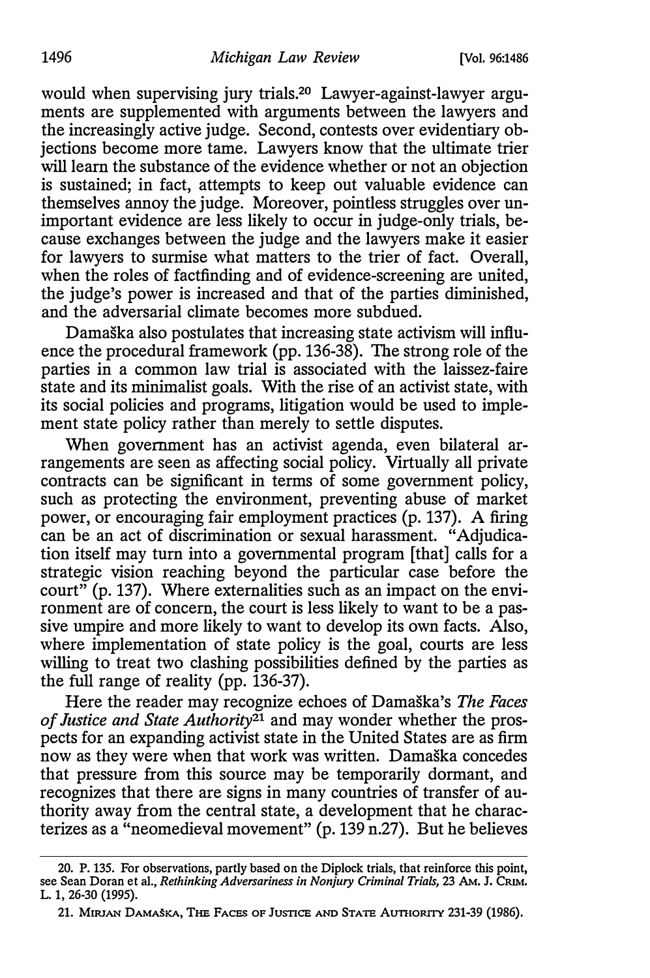would when supervising jury trials.20 Lawyer-against-lawyer arguments are supplemented with arguments between the lawyers and the increasingly active judge. Second, contests over evidentiary objections become more tame. Lawyers know that the ultimate trier will learn the substance of the evidence whether or not an objection is sustained; in fact, attempts to keep out valuable evidence can themselves annoy the judge. Moreover, pointless struggles over unimportant evidence are less likely to occur in judge-only trials, because exchanges between the judge and the lawyers make it easier for lawyers to surmise what matters to the trier of fact. Overall, when the roles of factfinding and of evidence-screening are united, the judge's power is increased and that of the parties diminished, and the adversarial climate becomes more subdued.

Damaska also postulates that increasing state activism will influence the procedural framework (pp. 136-38). The strong role of the parties in a common law trial is associated with the laissez-faire state and its minimalist goals. With the rise of an activist state, with its social policies and programs, litigation would be used to implement state policy rather than merely to settle disputes.

When government has an activist agenda, even bilateral arrangements are seen as affecting social policy. Virtually all private contracts can be significant in terms of some government policy, such as protecting the environment, preventing abuse of market power, or encouraging fair employment practices (p. 137). A firing can be an act of discrimination or sexual harassment. "Adjudication itself may tum into a governmental program [that] calls for a strategic vision reaching beyond the particular case before the court" (p. 137). Where externalities such as an impact on the environment are of concern, the court is less likely to want to be a passive umpire and more likely to want to develop its own facts. Also, willing to treat two clashing possibilities defined by the parties as where implementation of state policy is the goal, courts are less the full range of reality (pp. 136-37).

Here the reader may recognize echoes of Damaška's The Faces of Justice and State Authority<sup>21</sup> and may wonder whether the prospects for an expanding activist state in the United States are as firm now as they were when that work was written. Damaska concedes that pressure from this source may be temporarily dormant, and recognizes that there are signs in many countries of transfer of authority away from the central state, a development that he characterizes as a "neomedieval movement" (p. 139 n.27). But he believes

<sup>20.</sup> P. 135. For observations, partly based on the Diplock trials, that reinforce this point, see Sean Doran et al., Rethinking Adversariness in Nonjury Criminal Trials, 23 AM. J. CRIM. L. 1, 26-30 {1995).

<sup>21.</sup> MIRJAN DAMAŠKA, THE FACES OF JUSTICE AND STATE AUTHORITY 231-39 (1986).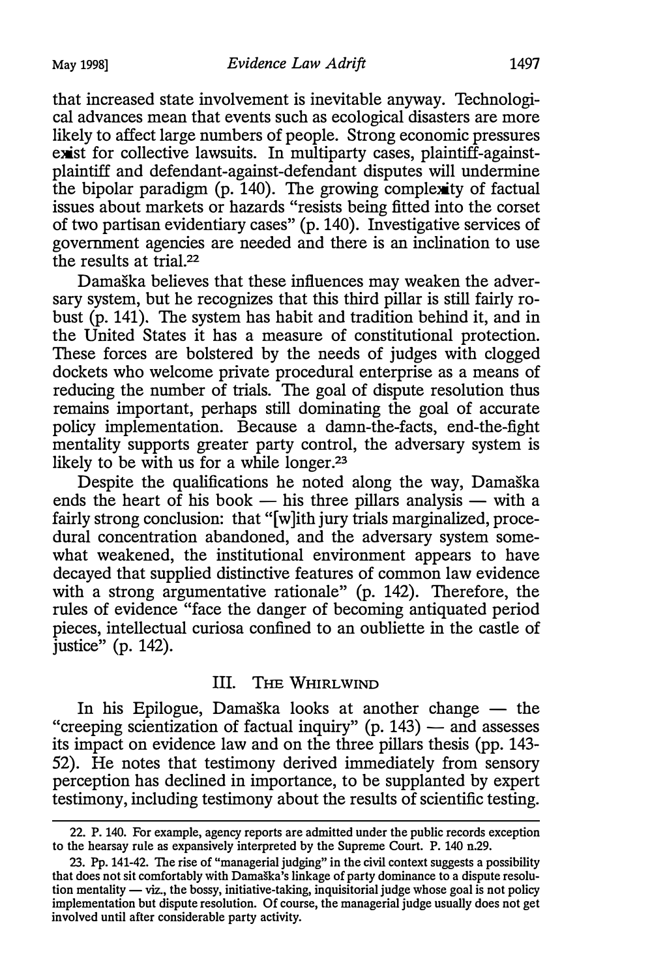that increased state involvement is inevitable anyway. Technological advances mean that events such as ecological disasters are more likely to affect large numbers of people. Strong economic pressures exist for collective lawsuits. In multiparty cases, plaintiff-againstplaintiff and defendant-against-defendant disputes will undermine the bipolar paradigm (p. 140). The growing complexity of factual issues about markets or hazards "resists being fitted into the corset of two partisan evidentiary cases" (p. 140). Investigative services of government agencies are needed and there is an inclination to use the results at trial 22

Damaska believes that these influences may weaken the adversary system, but he recognizes that this third pillar is still fairly robust (p. 141). The system has habit and tradition behind it, and in the United States it has a measure of constitutional protection. These forces are bolstered by the needs of judges with clogged dockets who welcome private procedural enterprise as a means of reducing the number of trials. The goal of dispute resolution thus remains important, perhaps still dominating the goal of accurate policy implementation. Because a damn-the-facts, end-the-fight mentality supports greater party control, the adversary system is likely to be with us for a while longer.<sup>23</sup>

Despite the qualifications he noted along the way, Damaška ends the heart of his book  $-$  his three pillars analysis  $-$  with a fairly strong conclusion: that "[w]ith jury trials marginalized, procedural concentration abandoned, and the adversary system somewhat weakened, the institutional environment appears to have decayed that supplied distinctive features of common law evidence with a strong argumentative rationale" (p. 142). Therefore, the rules of evidence "face the danger of becoming antiquated period pieces, intellectual curiosa confined to an oubliette in the castle of justice" (p. 142).

#### III. THE WHIRLWIND

In his Epilogue, Damaška looks at another change  $-$  the "creeping scientization of factual inquiry"  $(p. 143)$  — and assesses its impact on evidence law and on the three pillars thesis (pp. 143- 52). He notes that testimony derived immediately from sensory perception has declined in importance, to be supplanted by expert testimony, including testimony about the results of scientific testing.

<sup>22.</sup> P. 140. For example, agency reports are admitted under the public records exception to the hearsay rule as expansively interpreted by the Supreme Court. P. 140 n.29.

<sup>23.</sup> Pp. 141-42. The rise of "managerial judging" in the civil context suggests a possibility that does not sit comfortably with Damaska's linkage of party dominance to a dispute resolution mentality — viz., the bossy, initiative-taking, inquisitorial judge whose goal is not policy implementation but dispute resolution. Of course, the managerial judge usually does not get involved until after considerable party activity.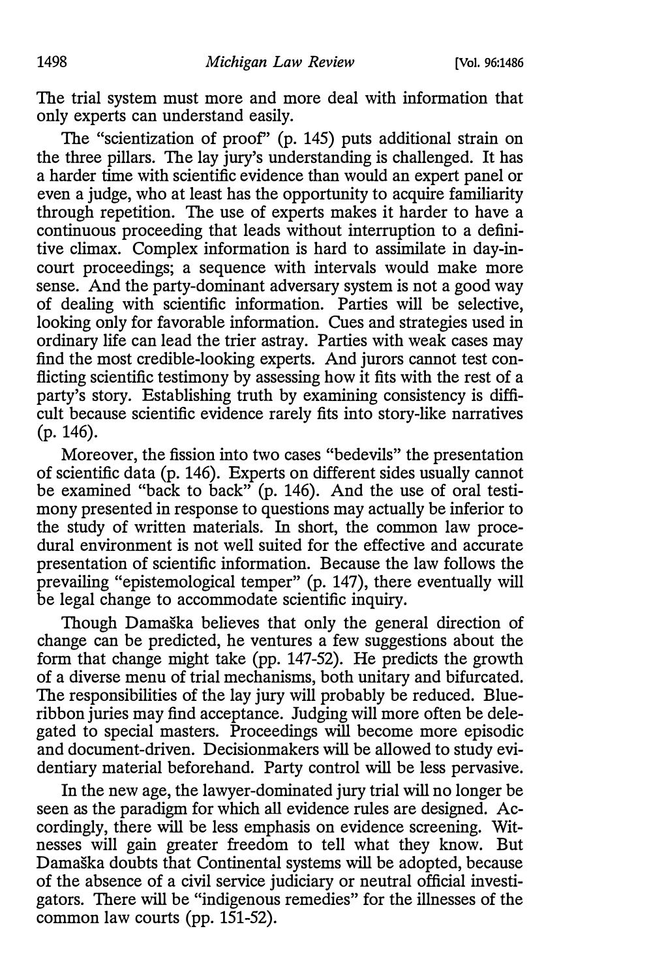The trial system must more and more deal with information that only experts can understand easily.

The "scientization of proof" (p. 145) puts additional strain on the three pillars. The lay jury's understanding is challenged. It has a harder time with scientific evidence than would an expert panel or even a judge, who at least has the opportunity to acquire familiarity through repetition. The use of experts makes it harder to have a continuous proceeding that leads without interruption to a definitive climax. Complex information is hard to assimilate in day-incourt proceedings; a sequence with intervals would make more sense. And the party-dominant adversary system is not a good way of dealing with scientific information. Parties will be selective, looking only for favorable information. Cues and strategies used in ordinary life can lead the trier astray. Parties with weak cases may find the most credible-looking experts. And jurors cannot test conflicting scientific testimony by assessing how it fits with the rest of a party's story. Establishing truth by examining consistency is difficult because scientific evidence rarely fits into story-like narratives (p. 146).

Moreover, the fission into two cases "bedevils" the presentation of scientific data (p. 146). Experts on different sides usually cannot be examined "back to back" (p. 146). And the use of oral testimony presented in response to questions may actually be inferior to the study of written materials. In short, the common law procedural environment is not well suited for the effective and accurate presentation of scientific information. Because the law follows the prevailing "epistemological temper" (p. 147), there eventually will be legal change to accommodate scientific inquiry.

Though Damaska believes that only the general direction of change can be predicted, he ventures a few suggestions about the form that change might take (pp. 147-52). He predicts the growth of a diverse menu of trial mechanisms, both unitary and bifurcated. The responsibilities of the lay jury will probably be reduced. Blueribbon juries may find acceptance. Judging will more often be delegated to special masters. Proceedings will become more episodic and document-driven. Decisionmakers will be allowed to study evidentiary material beforehand. Party control will be less pervasive.

In the new age, the lawyer-dominated jury trial will no longer be seen as the paradigm for which all evidence rules are designed. Accordingly, there will be less emphasis on evidence screening. Witnesses will gain greater freedom to tell what they know. But Damaska doubts that Continental systems will be adopted, because of the absence of a civil service judiciary or neutral official investigators. There will be "indigenous remedies" for the illnesses of the common law courts (pp. 151-52).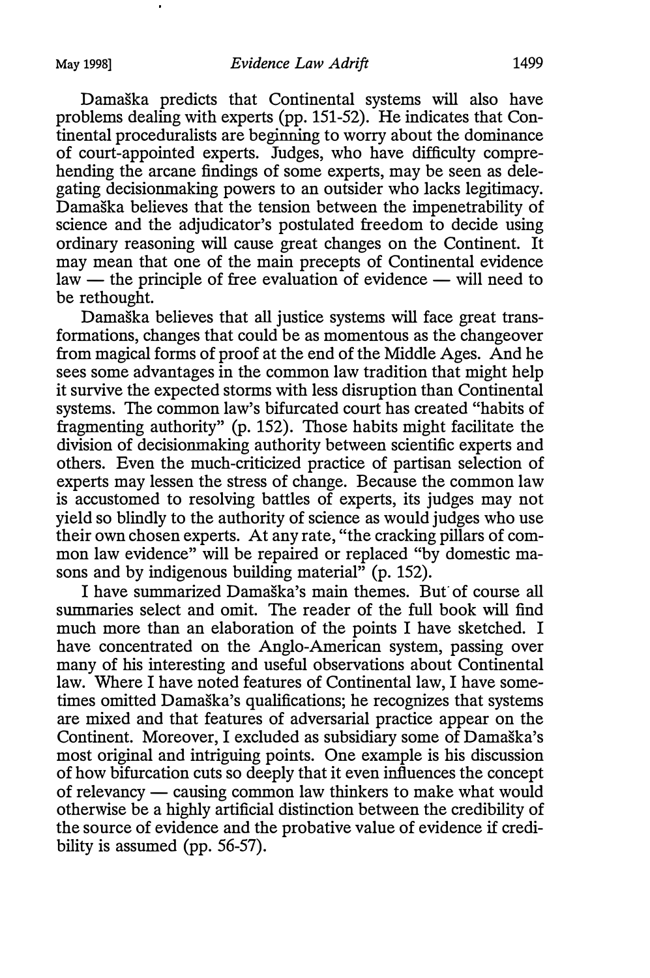Damaska predicts that Continental systems will also have problems dealing with experts (pp. 151-52). He indicates that Continental proceduralists are beginning to worry about the dominance of court-appointed experts. Judges, who have difficulty comprehending the arcane findings of some experts, may be seen as delegating decision.making powers to an outsider who lacks legitimacy. Damaska believes that the tension between the impenetrability of science and the adjudicator's postulated freedom to decide using ordinary reasoning will cause great changes on the Continent. It may mean that one of the main precepts of Continental evidence  $law$  — the principle of free evaluation of evidence — will need to be rethought.

Damaska believes that all justice systems will face great transformations, changes that could be as momentous as the changeover from magical forms of proof at the end of the Middle Ages. And he sees some advantages in the common law tradition that might help it survive the expected storms with less disruption than Continental systems. The common law's bifurcated court has created "habits of fragmenting authority" (p. 152). Those habits might facilitate the division of decision.making authority between scientific experts and others. Even the much-criticized practice of partisan selection of experts may lessen the stress of change. Because the common law is accustomed to resolving battles of experts, its judges may not yield so blindly to the authority of science as would judges who use their own chosen experts. At any rate, "the cracking pillars of common law evidence" will be repaired or replaced "by domestic masons and by indigenous building material" (p. 152).

I have summarized Damaska's main themes. Bur of course all summaries select and omit. The reader of the full book will find much more than an elaboration of the points I have sketched. I have concentrated on the Anglo-American system, passing over many of his interesting and useful observations about Continental law. Where I have noted features of Continental law, I have sometimes omitted Damaska's qualifications; he recognizes that systems are mixed and that features of adversarial practice appear on the Continent. Moreover, I excluded as subsidiary some of Damaska's most original and intriguing points. One example is his discussion of how bifurcation cuts so deeply that it even influences the concept of relevancy — causing common law thinkers to make what would otherwise be a highly artificial distinction between the credibility of the source of evidence and the probative value of evidence if credibility is assumed (pp. 56-57).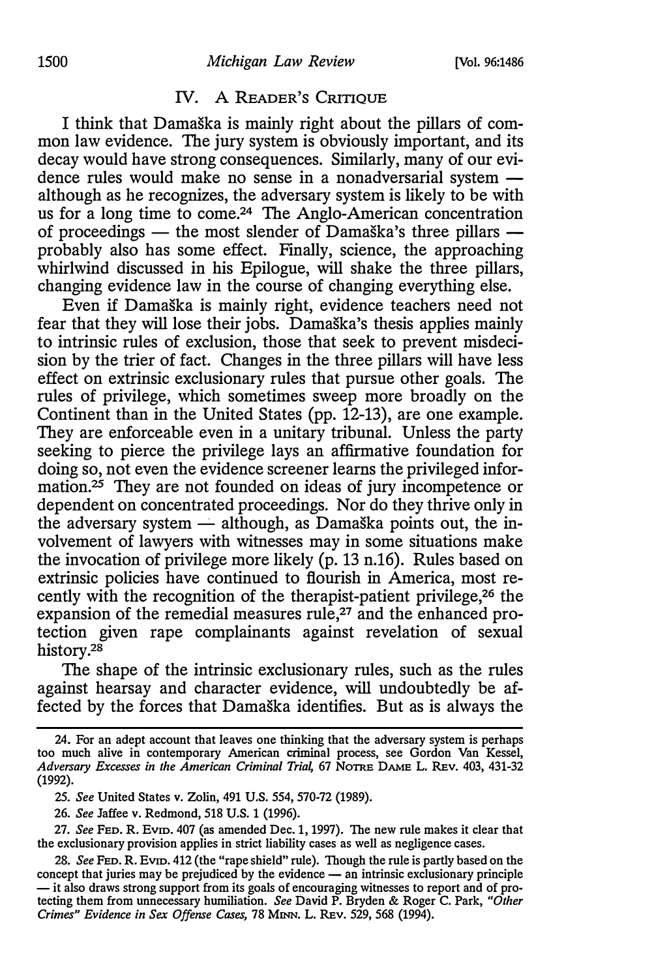#### IV. A READER'S CRITIQUE

I think that Damaska is mainly right about the pillars of common law evidence. The jury system is obviously important, and its decay would have strong consequences. Similarly, many of our evidence rules would make no sense in a nonadversarial system  $$ although as he recognizes, the adversary system is likely to be with us for a long time to come.24 The Anglo-American concentration of proceedings  $-$  the most slender of Damaška's three pillars  $$ probably also has some effect. Finally, science, the approaching whirlwind discussed in his Epilogue, will shake the three pillars, changing evidence law in the course of changing everything else.

Even if Damaska is mainly right, evidence teachers need not fear that they will lose their jobs. Damaska's thesis applies mainly to intrinsic rules of exclusion, those that seek to prevent misdecision by the trier of fact. Changes in the three pillars will have less effect on extrinsic exclusionary rules that pursue other goals. The rules of privilege, which sometimes sweep more broadly on the Continent than in the United States (pp. 12-13), are one example. They are enforceable even in a unitary tribunal. Unless the party seeking to pierce the privilege lays an affirmative foundation for doing so, not even the evidence screener learns the privileged information.25 They are not founded on ideas of jury incompetence or dependent on concentrated proceedings. Nor do they thrive only in the adversary system  $-$  although, as Damaška points out, the involvement of lawyers with witnesses may in some situations make the invocation of privilege more likely (p. 13 n.16). Rules based on extrinsic policies have continued to flourish in America, most recently with the recognition of the therapist-patient privilege,<sup>26</sup> the expansion of the remedial measures rule,27 and the enhanced protection given rape complainants against revelation of sexual history.28

The shape of the intrinsic exclusionary rules, such as the rules against hearsay and character evidence, will undoubtedly be affected by the forces that Damaska identifies. But as is always the

27. See FED. R. Evm. 407 (as amended Dec. 1, 1997). The new rule makes it clear that the exclusionary provision applies in strict liability cases as well as negligence cases.

<sup>24.</sup> For an adept account that leaves one thinking that the adversary system is perhaps too much alive in contemporary American criminal process, see Gordon Van Kessel, Adversary Excesses in the American Criminal Trial, 67 NoTRE DAME L. REv. 403, 431-32 (1992).

<sup>25.</sup> See United States v. Zolin, 491 U.S. 554, 570-72 (1989).

<sup>26.</sup> See Jaffee v. Redmond, 518 U.S. 1 (1996).

<sup>28.</sup> See FED. R. Evm. 412 (the "rape shield" rule). Though the rule is partly based on the concept that juries may be prejudiced by the evidence  $-$  an intrinsic exclusionary principle  $-$  it also draws strong support from its goals of encouraging witnesses to report and of protecting them from unnecessary humiliation. See David P. Bryden & Roger C. Park, "Other Crimes" Evidence in Sex Offense Cases, 78 MINN. L. REv. 529, 568 (1994).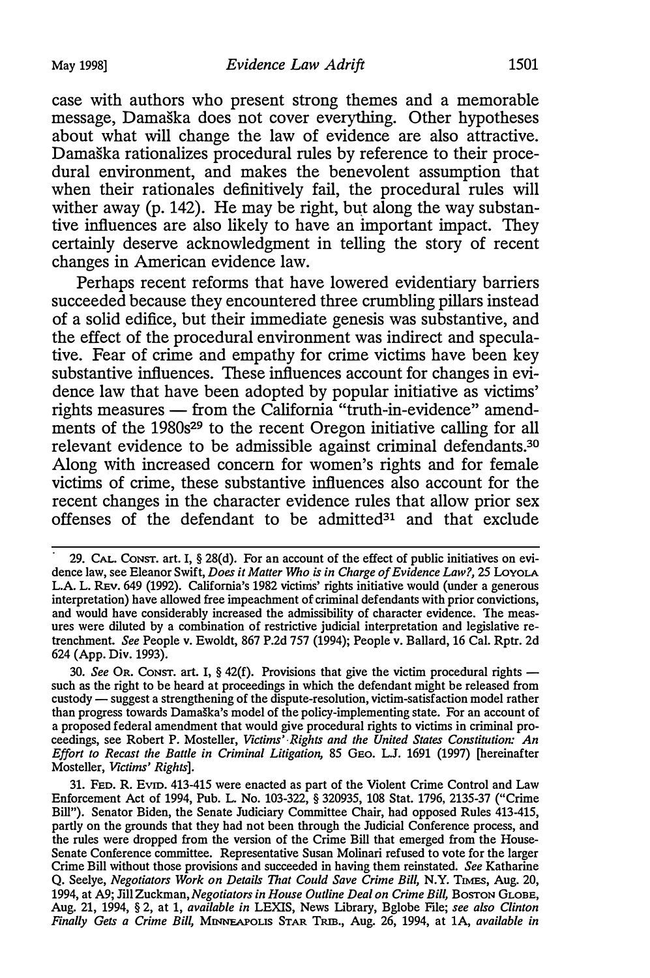case with authors who present strong themes and a memorable message, Damaska does not cover everything. Other hypotheses about what will change the law of evidence are also attractive. Damaska rationalizes procedural rules by reference to their procedural environment, and makes the benevolent assumption that when their rationales definitively fail, the procedural rules will wither away (p. 142). He may be right, but along the way substantive influences are also likely to have an important impact. They certainly deserve acknowledgment in telling the story of recent changes in American evidence law.

Perhaps recent reforms that have lowered evidentiary barriers succeeded because they encountered three crumbling pillars instead of a solid edifice, but their immediate genesis was substantive, and the effect of the procedural environment was indirect and speculative. Fear of crime and empathy for crime victims have been key substantive influences. These influences account for changes in evidence law that have been adopted by popular initiative as victims' rights measures — from the California "truth-in-evidence" amendments of the 1980s<sup>29</sup> to the recent Oregon initiative calling for all relevant evidence to be admissible against criminal defendants.<sup>30</sup> Along with increased concern for women's rights and for female victims of crime, these substantive influences also account for the recent changes in the character evidence rules that allow prior sex offenses of the defendant to be admitted31 and that exclude

30. See Or. CONST. art. I, § 42(f). Provisions that give the victim procedural rights  $$ such as the right to be heard at proceedings in which the defendant might be released from custody — suggest a strengthening of the dispute-resolution, victim-satisfaction model rather than progress towards Damaska's model of the policy-implementing state. For an account of a proposed federal amendment that would give procedural rights to victims in criminal proceedings, see Robert P. Mosteller, Victims<sup>7</sup> Rights and the United States Constitution: An Effort to Recast the Battle in Criminal Litigation, 85 GEO. LJ. 1691 (1997) [hereinafter Mosteller, Victims' Rights].

31. FED. R. Evm. 413-415 were enacted as part of the Violent Crime Control and Law Enforcement Act of 1994, Pub. L. No. 103-322, § 320935, 108 Stat. 1796, 2135-37 ("Crime Bill"). Senator Biden, the Senate Judiciary Committee Chair, had opposed Rules 413-415, partly on the grounds that they had not been through the Judicial Conference process, and the rules were dropped from the version of the Crime Bill that emerged from the House-Senate Conference committee. Representative Susan Molinari refused to vote for the larger Crime Bill without those provisions and succeeded in having them reinstated. See Katharine Q. Seelye, Negotiators Work on Details That Could Save Crime Bill, N.Y. TIMES, Aug. 20, 1994, at A9; Jill Zuckman, Negotiators in House Outline Deal on Crime Bill, BOSTON GLOBE, Aug. 21, 1994, § 2, at 1, available in LEXIS, News Library, Bglobe File; see also Clinton Finally Gets a Crime Bill, MINNEAPOLIS STAR TRIB., Aug. 26, 1994, at 1A, available in

<sup>29.</sup> CAL. CONST. art. I, § 28(d). For an account of the effect of public initiatives on evidence law, see Eleanor Swift, Does it Matter Who is in Charge of Evidence Law?, 25 LoyoLA L.A. L. REv. 649 (1992). California's 1982 victims' rights initiative would (under a generous interpretation) have allowed free impeachment of criminal defendants with prior convictions, and would have considerably increased the admissibility of character evidence. The measures were diluted by a combination of restrictive judicial interpretation and legislative retrenchment. See People v. Ewoldt, 867 P.2d 757 (1994); People v. Ballard, 16 Cal. Rptr. 2d 624 (App. Div. 1993).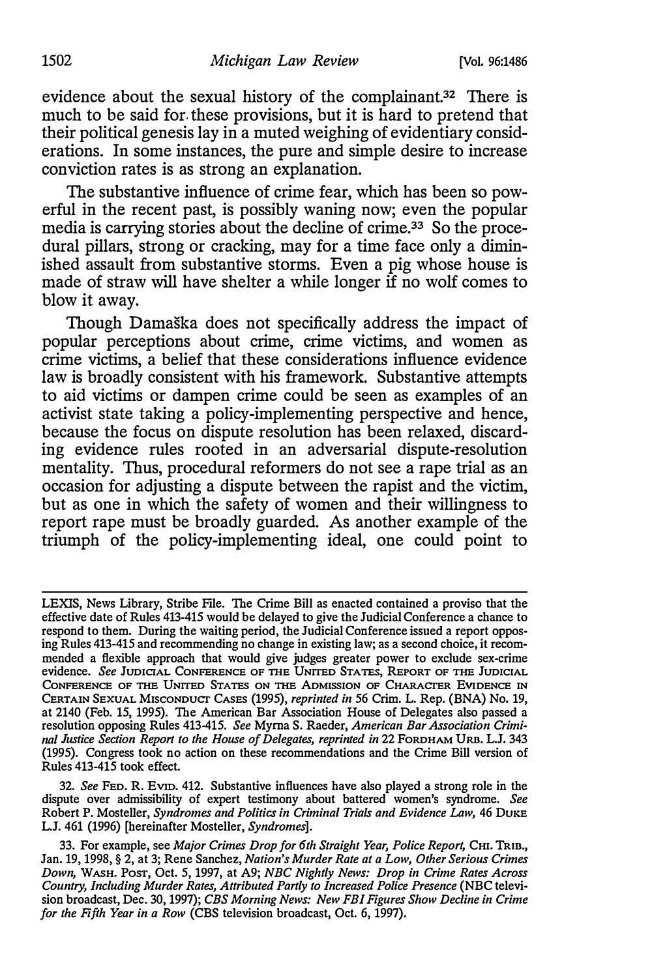evidence about the sexual history of the complainant.<sup>32</sup> There is much to be said for these provisions, but it is hard to pretend that their political genesis lay in a muted weighing of evidentiary considerations. In some instances, the pure and simple desire to increase conviction rates is as strong an explanation.

The substantive influence of crime fear, which has been so powerful in the recent past, is possibly waning now; even the popular media is carrying stories about the decline of crime.33 So the procedural pillars, strong or cracking, may for a time face only a diminished assault from substantive storms. Even a pig whose house is made of straw will have shelter a while longer if no wolf comes to blow it away.

Though Damaska does not specifically address the impact of popular perceptions about crime, crime victims, and women as crime victims, a belief that these considerations influence evidence law is broadly consistent with his framework. Substantive attempts to aid victims or dampen crime could be seen as examples of an activist state taking a policy-implementing perspective and hence, because the focus on dispute resolution has been relaxed, discarding evidence rules rooted in an adversarial dispute-resolution mentality. Thus, procedural reformers do not see a rape trial as an occasion for adjusting a dispute between the rapist and the victim, but as one in which the safety of women and their willingness to report rape must be broadly guarded. As another example of the triumph of the policy-implementing ideal, one could point to

32. See FED. R. Evm. 412. Substantive influences have also played a strong role in the dispute over admissibility of expert testimony about battered women's syndrome. See Robert P. Mosteller, Syndromes and Politics in Criminal Trials and Evidence Law, 46 DUKE L.J. 461 (1996) [hereinafter Mosteller, Syndromes].

LEXIS, News Library, Stribe File. The Crime Bill as enacted contained a proviso that the effective date of Rules 413-415 would be delayed to give the Judicial Conference a chance to respond to them. During the waiting period, the Judicial Conference issued a report oppos· ing Rules 413-415 and recommending no change in existing law; as a second choice, it recommended a flexible approach that would give judges greater power to exclude sex-crime evidence. See JUDICIAL CONFERENCE OF THE UNITED STATES, REPORT OF THE JUDICIAL CONFERENCE OF THE UNITED STATES ON THE ADMISSION OF CHARACTER EVIDENCE IN CERTAIN SEXUAL MiscoNDUCT CASES (1995), reprinted in 56 Crim. L. Rep. (ENA) No. 19, at 2140 (Feb. 15, 1995). The American Bar Association House of Delegates also passed a resolution opposing Rules 413-415. See Myrna S. Raeder, American Bar Association Criminal Justice Section Report to the House of Delegates, reprinted in 22 FORDHAM URB. L.J. 343 (1995). Congress took no action on these recommendations and the Crime Bill version of Rules 413-415 took effect.

<sup>33.</sup> For example, see Major Crimes Drop for 6th Straight Year, Police Report, CHI. TRIB., Jan. 19, 1998, § 2, at 3; Rene Sanchez, Nation's Murder Rate at a Low, Other Serious Crimes Down, WASH. PoST, Oct. 5, 1997, at A9; NBC Nightly News: Drop in Crime Rates Across Country, Including Murder Rates, Attributed Partly to Increased Police Presence (NBC television broadcast, Dec. 30, 1997); CBS Morning News: New FBI Figures Show Decline in Crime for the Fifth Year in a Row (CBS television broadcast, Oct. 6, 1997).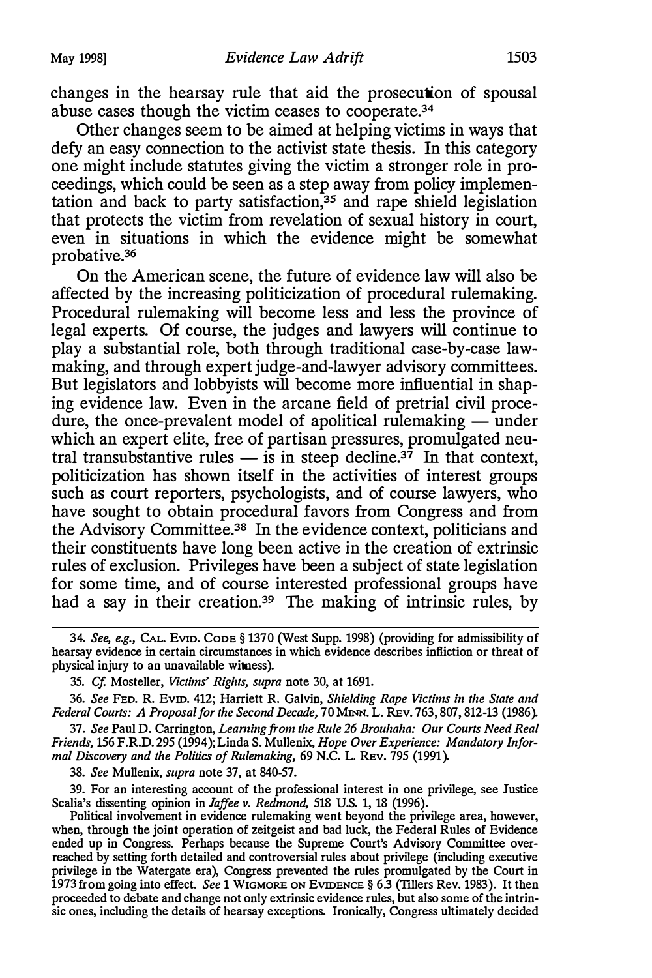changes in the hearsay rule that aid the prosecution of spousal abuse cases though the victim ceases to cooperate.34

Other changes seem to be aimed at helping victims in ways that defy an easy connection to the activist state thesis. In this category one might include statutes giving the victim a stronger role in proceedings, which could be seen as a step away from policy implementation and back to party satisfaction, $35$  and rape shield legislation that protects the victim from revelation of sexual history in court, even in situations in which the evidence might be somewhat probative.36

On the American scene, the future of evidence law will also be affected by the increasing politicization of procedural rulemaking. Procedural rulemaking will become less and less the province of legal experts. Of course, the judges and lawyers will continue to play a substantial role, both through traditional case-by-case lawmaking, and through expert judge-and-lawyer advisory committees. But legislators and lobbyists will become more influential in shaping evidence law. Even in the arcane field of pretrial civil procedure, the once-prevalent model of apolitical rulemaking  $-\overline{\ }$  under which an expert elite, free of partisan pressures, promulgated neutral transubstantive rules  $-$  is in steep decline.<sup>37</sup> In that context, politicization has shown itself in the activities of interest groups such as court reporters, psychologists, and of course lawyers, who have sought to obtain procedural favors from Congress and from the Advisory Committee.38 In the evidence context, politicians and their constituents have long been active in the creation of extrinsic rules of exclusion. Privileges have been a subject of state legislation for some time, and of course interested professional groups have had a say in their creation.39 The making of intrinsic rules, by

37. See Paul D. Carrington, Leaming from the Rule 26 Brouhaha: Our Courts Need Real Friends, 156 F.R.D. 295 (1994); Linda S. Mullenix, Hope Over Experience: Mandatory Informal Discovery and the Politics of Rulemaking, 69 N.C. L. REv. 795 (1991).

38. See Mullenix, supra note 37, at 840-57.

39. For an interesting account of the professional interest in one privilege, see Justice Scalia's dissenting opinion in *Jaffee v. Redmond*, 518 U.S. 1, 18 (1996).

Political involvement in evidence rulemaking went beyond the privilege area, however, when, through the joint operation of zeitgeist and bad luck, the Federal Rules of Evidence ended up in Congress. Perhaps because the Supreme Court's Advisory Committee overreached by setting forth detailed and controversial rules about privilege (including executive privilege in the Watergate era), Congress prevented the rules promulgated by the Court in 1973 from going into effect. See 1 WIGMORE ON EVIDENCE § 6.3 (Tillers Rev. 1983). It then proceeded to debate and change not only extrinsic evidence rules, but also some of the intrinsic ones, including the details of hearsay exceptions. Ironically, Congress ultimately decided

<sup>34.</sup> See, e.g., CAL. Evm. CODE § 1370 (West Supp. 1998) (providing for admissibility of hearsay evidence in certain circumstances in which evidence describes infliction or threat of physical injury to an unavailable witness).

<sup>35.</sup> Cf. Mosteller, Victims' Rights, supra note 30, at 1691.

<sup>36.</sup> See FED. R. Evm. 412; Harriett R. Galvin, Shielding Rape Victims in the State and Federal Courts: A Proposal for the Second Decade, 70 MINN. L. REv. 763, 807, 812-13 (1986).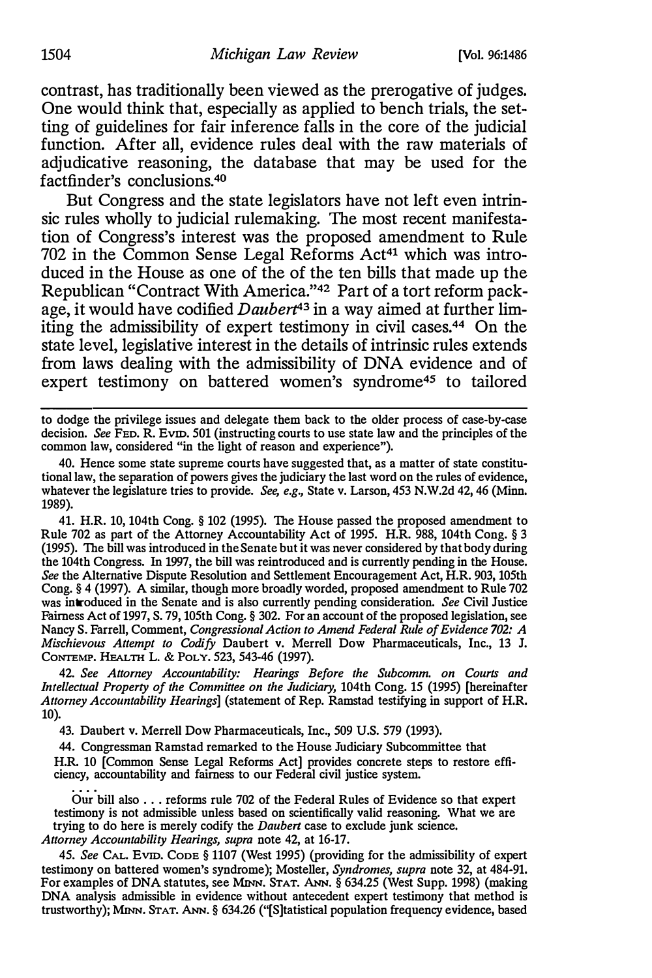contrast, has traditionally been viewed as the prerogative of judges. One would think that, especially as applied to bench trials, the setting of guidelines for fair inference falls in the core of the judicial function. After all, evidence rules deal with the raw materials of adjudicative reasoning, the database that may be used for the factfinder's conclusions. 40

But Congress and the state legislators have not left even intrinsic rules wholly to judicial rulemaking. The most recent manifestation of Congress's interest was the proposed amendment to Rule 702 in the Common Sense Legal Reforms Act<sup>41</sup> which was introduced in the House as one of the of the ten bills that made up the Republican "Contract With America."42 Part of a tort reform package, it would have codified  $Daubert^{43}$  in a way aimed at further limiting the admissibility of expert testimony in civil cases.44 On the state level, legislative interest in the details of intrinsic rules extends from laws dealing with the admissibility of DNA evidence and of expert testimony on battered women's syndrome<sup>45</sup> to tailored

to dodge the privilege issues and delegate them back to the older process of case-by-case decision. See FED. R. Evm. 501 (instructing courts to use state law and the principles of the common law, considered "in the light of reason and experience").

40. Hence some state supreme courts have suggested that, as a matter of state constitutional law, the separation of powers gives the judiciary the last word on the rules of evidence, whatever the legislature tries to provide. See, e.g., State v. Larson, 453 N.W.2d 42, 46 (Minn. 1989).

41. H.R. 10, 104th Cong. § 102 {1995). The House passed the proposed amendment to Rule 702 as part of the Attorney Accountability Act of 1995. H.R. 988, 104th Cong. § 3 {1995). The bill was introduced in the Senate but it was never considered by that body during the 104th Congress. In 1997, the bill was reintroduced and is currently pending in the House. See the Alternative Dispute Resolution and Settlement Encouragement Act, H.R. 903, 105th Cong. § 4 {1997). A similar, though more broadly worded, proposed amendment to Rule 702 was introduced in the Senate and is also currently pending consideration. See Civil Justice Fairness Act of 1997, S. 79, 105th Cong. § 302. For an account of the proposed legislation, see Nancy S. Farrell, Comment, Congressional Action to Amend Federal Rule of Evidence 702: A Mischievous Attempt to Codify Daubert v. Merrell Dow Pharmaceuticals, Inc., 13 J. CONTEMP. HEALTH L. & POLY. 523, 543-46 {1997).

42. See Attorney Accountability: Hearings Before the Subcomm. on Courts and Intellectual Property of the Committee on the Judiciary, 104th Cong. 15 {1995) [hereinafter Attorney Accountability Hearings] (statement of Rep. Ramstad testifying in support of H.R. 10).

43. Daubert v. Merrell Dow Pharmaceuticals, Inc., 509 U.S. 579 {1993).

44. Congressman Ramstad remarked to the House Judiciary Subcommittee that H.R. 10 [Common Sense Legal Reforms Act] provides concrete steps to restore efficiency, accountability and fairness to our Federal civil justice system.

Our bill also ... reforms rule 702 of the Federal Rules of Evidence so that expert testimony is not admissible unless based on scientifically valid reasoning. What we are trying to do here is merely codify the Daubert case to exclude junk science. Attorney Accountability Hearings, supra note 42, at 16-17.

45. See CAL. EVID. CODE § 1107 (West 1995) (providing for the admissibility of expert testimony on battered women's syndrome); Mosteller, Syndromes, supra note 32, at 484-91. For examples of DNA statutes, see MINN. STAT. ANN. § 634.25 (West Supp. 1998) (making DNA analysis admissible in evidence without antecedent expert testimony that method is trustworthy); MINN. STAT. ANN. § 634.26 ("[S]tatistical population frequency evidence, based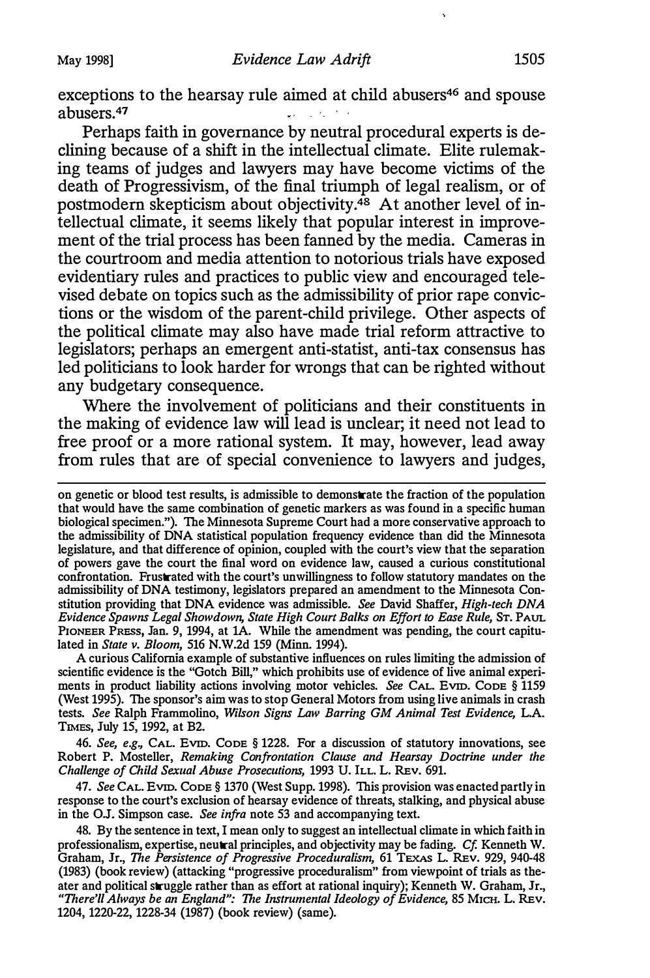exceptions to the hearsay rule aimed at child abusers<sup>46</sup> and spouse abusers.<sup>47</sup>

clining because of a shift in the intellectual climate. Elite rulemak-Perhaps faith in governance by neutral procedural experts is deing teams of judges and lawyers may have become victims of the death of Progressivism, of the final triumph of legal realism, or of postmodern skepticism about objectivity.48 At another level of intellectual climate, it seems likely that popular interest in improvement of the trial process has been fanned by the media. Cameras in the courtroom and media attention to notorious trials have exposed evidentiary rules and practices to public view and encouraged televised debate on topics such as the admissibility of prior rape convictions or the wisdom of the parent-child privilege. Other aspects of the political climate may also have made trial reform attractive to legislators; perhaps an emergent anti-statist, anti-tax consensus has led politicians to look harder for wrongs that can be righted without any budgetary consequence.

Where the involvement of politicians and their constituents in the making of evidence law will lead is unclear; it need not lead to free proof or a more rational system. It may, however, lead away from rules that are of special convenience to lawyers and judges,

A curious California example of substantive influences on rules limiting the admission of scientific evidence is the "Gotch Bill," which prohibits use of evidence of live animal experiments in product liability actions involving motor vehicles. See CAL. EVID. CODE § 1159 (West 1995). The sponsor's aim was to stop General Motors from using live animals in crash tests. See Ralph Frammolino, Wilson Signs Law Barring GM Animal Test Evidence, L.A. TIMES, July 15, 1992, at B2.

46. See, e.g., CAL. Evm. CODE § 1228. For a discussion of statutory innovations, see Robert P. Mosteller, Remaking Confrontation Clause and Hearsay Doctrine under the Challenge of Child Sexual Abuse Prosecutions, 1993 U. ILL. L. REV. 691.

47. See CAL. Evm. CoDE § 1370 (West Supp. 1998). This provision was enacted partly in response to the court's exclusion of hearsay evidence of threats, stalking, and physical abuse in the OJ. Simpson case. See infra note 53 and accompanying text.

48. By the sentence in text, I mean only to suggest an intellectual climate in which faith in professionalism, expertise, neutral principles, and objectivity may be fading. Cf. Kenneth W. Graham, Jr., The Persistence of Progressive Proceduralism, 61 TEXAS L. REv. 929, 940-48 (1983) (book review) (attacking "progressive proceduralism" from viewpoint of trials as theater and political struggle rather than as effort at rational inquiry); Kenneth W. Graham, Jr., "There'll Always be an England": The Instrumental Ideology of Evidence, 85 MICH. L. REv. 1204, 1220-22, 1228-34 (1987) (book review) (same).

on genetic or blood test results, is admissible to demonstrate the fraction of the population that would have the same combination of genetic markers as was found in a specific human biological specimen."). The Minnesota Supreme Court had a more conservative approach to the admissibility of DNA statistical population frequency evidence than did the Minnesota legislature, and that difference of opinion, coupled with the court's view that the separation of powers gave the court the final word on evidence law, caused a curious constitutional confrontation. Frustrated with the court's unwillingness to follow statutory mandates on the admissibility of DNA testimony, legislators prepared an amendment to the Minnesota Constitution providing that DNA evidence was admissible. See David Shaffer, High-tech DNA Evidence Spawns Legal Showdown, State High Court Balks on Effort to Ease Rule, ST. PAUL PIONEER PRESs, Jan. 9, 1994, at lA. While the amendment was pending, the court capitulated in State v. Bloom, 516 N.W.2d 159 (Minn. 1994).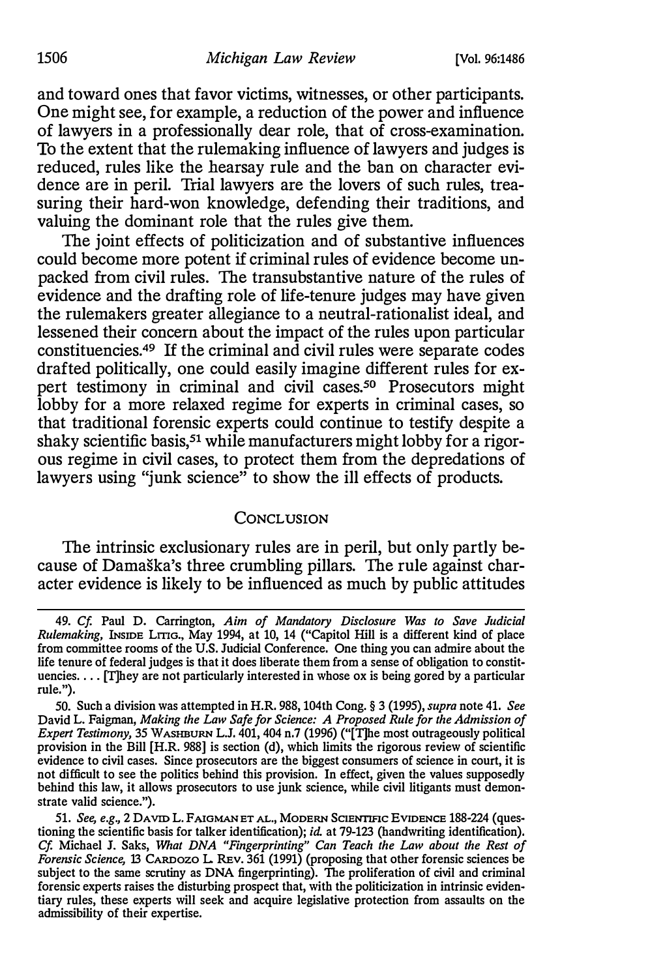and toward ones that favor victims, witnesses, or other participants. One might see, for example, a reduction of the power and influence of lawyers in a professionally dear role, that of cross-examination. To the extent that the rulemaking influence of lawyers and judges is reduced, rules like the hearsay rule and the ban on character evidence are in peril. Trial lawyers are the lovers of such rules, treasuring their hard-won knowledge, defending their traditions, and valuing the dominant role that the rules give them.

The joint effects of politicization and of substantive influences could become more potent if criminal rules of evidence become unpacked from civil rules. The transubstantive nature of the rules of evidence and the drafting role of life-tenure judges may have given the rulemakers greater allegiance to a neutral-rationalist ideal, and lessened their concern about the impact of the rules upon particular constituencies.49 If the criminal and civil rules were separate codes drafted politically, one could easily imagine different rules for expert testimony in criminal and civil cases.50 Prosecutors might lobby for a more relaxed regime for experts in criminal cases, so that traditional forensic experts could continue to testify despite a shaky scientific basis,<sup>51</sup> while manufacturers might lobby for a rigorous regime in civil cases, to protect them from the depredations of lawyers using "junk science" to show the ill effects of products.

#### **CONCLUSION**

The intrinsic exclusionary rules are in peril, but only partly because of Damaska's three crumbling pillars. The rule against character evidence is likely to be influenced as much by public attitudes

<sup>49.</sup> Cf. Paul D. Carrington, Aim of Mandatory Disclosure Was to Save Judicial Rulemaking, INSIDE LITIG., May 1994, at 10, 14 ("Capitol Hill is a different kind of place from committee rooms of the U.S. Judicial Conference. One thing you can admire about the life tenure of federal judges is that it does liberate them from a sense of obligation to constituencies .... [T]hey are not particularly interested in whose ox is being gored by a particular rule.").

<sup>50.</sup> Such a division was attempted in H.R. 988, 104th Cong. § 3 (1995), supra note 41. See David L. Faigman, Making the Law Safe for Science: A Proposed Rule for the Admission of Expert Testimony, 35 WASHBURN L.J. 401, 404 n.7 (1996) ("[T]he most outrageously political provision in the Bill [H.R. 988] is section (d), which limits the rigorous review of scientific evidence to civil cases. Since prosecutors are the biggest consumers of science in court, it is not difficult to see the politics behind this provision. In effect, given the values supposedly behind this law, it allows prosecutors to use junk science, while civil litigants must demonstrate valid science.").

<sup>51.</sup> See, e.g., 2 DAVID L. FAIGMAN ET AL., MODERN SCIENTIFIC EVIDENCE 188-224 (questioning the scientific basis for talker identification); id. at 79-123 (handwriting identification). Cf. Michael J. Saks, What DNA "Fingerprinting" Can Teach the Law about the Rest of Forensic Science, 13 CARDOZO L. REv. 361 (1991) (proposing that other forensic sciences be subject to the same scrutiny as DNA fingerprinting). The proliferation of civil and criminal forensic experts raises the disturbing prospect that, with the politicization in intrinsic evidentiary rules, these experts will seek and acquire legislative protection from assaults on the admissibility of their expertise.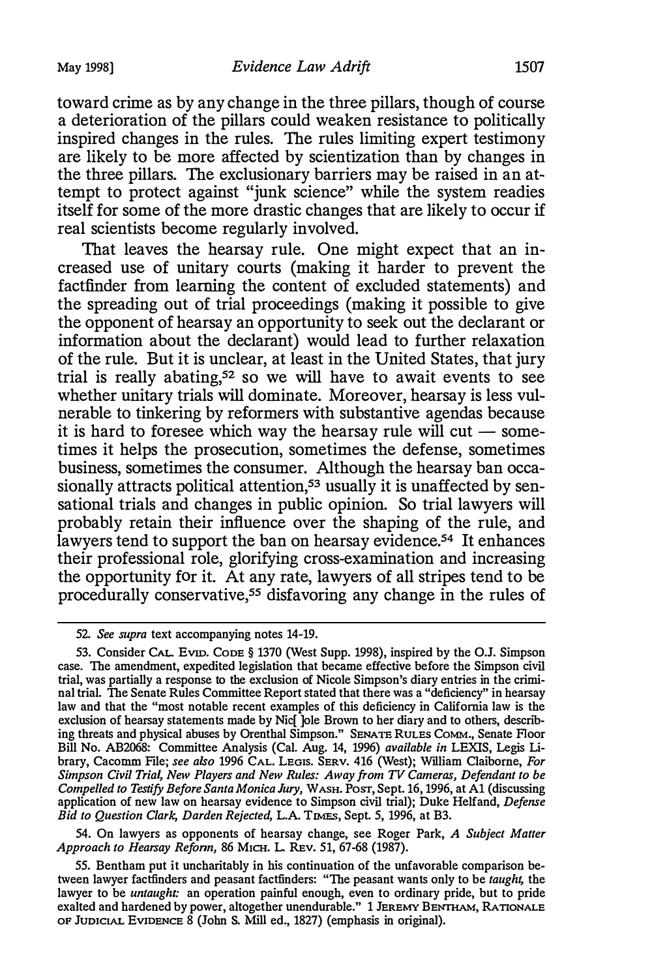toward crime as by any change in the three pillars, though of course a deterioration of the pillars could weaken resistance to politically inspired changes in the rules. The rules limiting expert testimony are likely to be more affected by scientization than by changes in the three pillars. The exclusionary barriers may be raised in an attempt to protect against "junk science" while the system readies itself for some of the more drastic changes that are likely to occur if real scientists become regularly involved.

That leaves the hearsay rule. One might expect that an increased use of unitary courts (making it harder to prevent the factfinder from learning the content of excluded statements) and the spreading out of trial proceedings (making it possible to give the opponent of hearsay an opportunity to seek out the declarant or information about the declarant) would lead to further relaxation of the rule. But it is unclear, at least in the United States, that jury trial is really abating,<sup>52</sup> so we will have to await events to see whether unitary trials will dominate. Moreover, hearsay is less vulnerable to tinkering by reformers with substantive agendas because it is hard to foresee which way the hearsay rule will cut  $-$  sometimes it helps the prosecution, sometimes the defense, sometimes business, sometimes the consumer. Although the hearsay ban occasionally attracts political attention,<sup>53</sup> usually it is unaffected by sensational trials and changes in public opinion. So trial lawyers will probably retain their influence over the shaping of the rule, and lawyers tend to support the ban on hearsay evidence.<sup>54</sup> It enhances their professional role, glorifying cross-examination and increasing the opportunity for it. At any rate, lawyers of all stripes tend to be procedurally conservative,55 disfavoring any change in the rules of

<sup>52.</sup> See supra text accompanying notes 14-19.

<sup>53.</sup> Consider CAL. EVID. CODE § 1370 (West Supp. 1998), inspired by the O.J. Simpson case. The amendment, expedited legislation that became effective before the Simpson civil trial, was partially a response to the exclusion of Nicole Simpson's diary entries in the criminal trial. The Senate Rules Committee Report stated that there was a "deficiency" in hearsay law and that the "most notable recent examples of this deficiency in California law is the exclusion of hearsay statements made by Nie[ Joie Brown to her diary and to others, describing threats and physical abuses by Orenthal Simpson." SENATE RULES CoMM., Senate Floor Bill No. AB2068: Committee Analysis (Cal. Aug. 14, 1996) available in LEXIS, Legis Library, Cacomm File; see also 1996 CAL. LEGIS. SERV. 416 (West); William Claiborne, For Simpson Civil Trial, New Players and New Rules: Away from TV Cameras, Defendant to be Compelled to Testify Before Santa Monica Jury, WASH. PoST, Sept. 16, 1996, at Al (discussing application of new law on hearsay evidence to Simpson civil trial); Duke Helfand, Defense Bid to Question Clark, Darden Rejected, L.A. TIMES, Sept. 5, 1996, at B3.

<sup>54.</sup> On lawyers as opponents of hearsay change, see Roger Park, A Subject Matter Approach to Hearsay Refonn, 86 M1CH. L. REv. 51, 67-68 (1987).

<sup>55.</sup> Bentham put it uncharitably in his continuation of the unfavorable comparison between lawyer factfinders and peasant factfinders: "The peasant wants only to be taught, the lawyer to be untaught: an operation painful enough, even to ordinary pride, but to pride exalted and hardened by power, altogether unendurable." 1 JEREMY BENTHAM, RATIONALE OF JUDICIAL EVIDENCE 8 (John s. Mill ed., 1827) (emphasis in original).